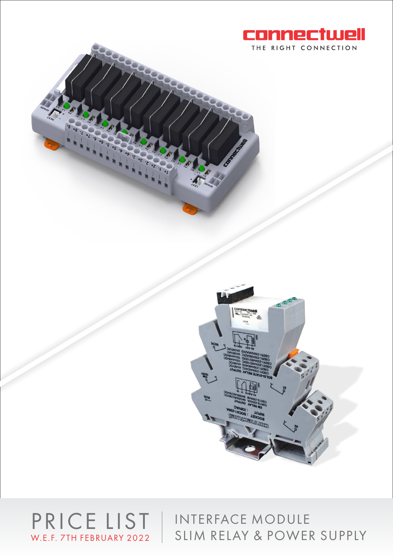





PRICE LIST | INTERFACE MODULE SLIM RELAY & POWER SUPPLY W.E.F. 7TH FEBRUARY 2022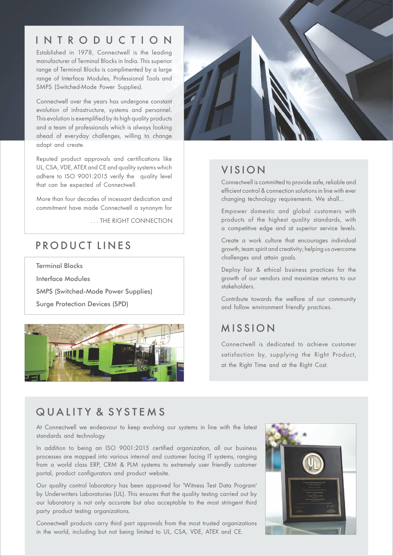# I N T R O D U C T I O N

Established in 1978, Connectwell is the leading manufacturer of Terminal Blocks in India. This superior range of Terminal Blocks is complimented by a large range of Interface Modules, Professional Tools and SMPS (Switched-Mode Power Supplies).

Connectwell over the years has undergone constant evolution of infrastructure, systems and personnel. This evolution is exemplified by its high quality products and a team of professionals which is always looking ahead of everyday challenges, willing to change adapt and create.

Reputed product approvals and certifications like UL, CSA, VDE, ATEX and CE and quality systems which adhere to ISO 9001:2015 verify the quality level that can be expected of Connectwell.

More than four decades of incessant dedication and commitment have made Connectwell a synonym for

. . . THE RIGHT CONNECTION

# PRODUCT LINES

Terminal Blocks

Interface Modules

SMPS (Switched-Mode Power Supplies)

Surge Protection Devices (SPD)





### **VISION**

Connectwell is committed to provide safe, reliable and efficient control & connection solutions in line with ever changing technology requirements. We shall…

Empower domestic and global customers with products of the highest quality standards, with a competitive edge and at superior service levels.

Create a work culture that encourages individual growth, team spirit and creativity; helping us overcome challenges and attain goals.

Deploy fair & ethical business practices for the growth of our vendors and maximize returns to our stakeholders.

Contribute towards the welfare of our community and follow environment friendly practices.

## **MISSION**

Connectwell is dedicated to achieve customer satisfaction by, supplying the Right Product, at the Right Time and at the Right Cost.

## QUALITY & SYSTEMS

At Connectwell we endeavour to keep evolving our systems in line with the latest standards and technology.

In addition to being an ISO 9001:2015 certified organization, all our business processes are mapped into various internal and customer facing IT systems, ranging from a world class ERP, CRM & PLM systems to extremely user friendly customer portal, product configurators and product website.

Our quality control laboratory has been approved for 'Witness Test Data Program' by Underwriters Laboratories (UL). This ensures that the quality testing carried out by our laboratory is not only accurate but also acceptable to the most stringent third party product testing organizations.

Connectwell products carry third part approvals from the most trusted organizations in the world, including but not being limited to UL, CSA, VDE, ATEX and CE.

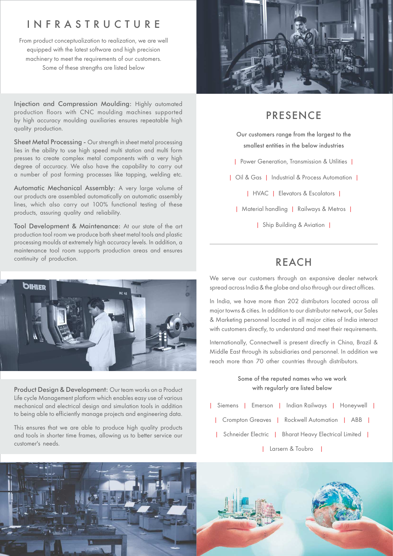### I N F R A S T R U C T U R E

From product conceptualization to realization, we are well equipped with the latest software and high precision machinery to meet the requirements of our customers. Some of these strengths are listed below

Injection and Compression Moulding: Highly automated production floors with CNC moulding machines supported by high accuracy moulding auxiliaries ensures repeatable high quality production.

Sheet Metal Processing - Our strength in sheet metal processing lies in the ability to use high speed multi station and multi form presses to create complex metal components with a very high degree of accuracy. We also have the capability to carry out a number of post forming processes like tapping, welding etc.

Automatic Mechanical Assembly: A very large volume of our products are assembled automatically on automatic assembly lines, which also carry out 100% functional testing of these products, assuring quality and reliability.

Tool Development & Maintenance: At our state of the art production tool room we produce both sheet metal tools and plastic processing moulds at extremely high accuracy levels. In addition, a maintenance tool room supports production areas and ensures continuity of production.



Product Design & Development: Our team works on a Product Life cycle Management platform which enables easy use of various mechanical and electrical design and simulation tools in addition to being able to efficiently manage projects and engineering data.

This ensures that we are able to produce high quality products and tools in shorter time frames, allowing us to better service our customer's needs.



### PRESENCE

Our customers range from the largest to the smallest entities in the below industries

| Power Generation, Transmission & Utilities |

| Oil & Gas | Industrial & Process Automation |

| HVAC | Elevators & Escalators |

| Material handling | Railways & Metros |

| Ship Building & Aviation |

#### REACH

We serve our customers through an expansive dealer network spread across India & the globe and also through our direct offices.

In India, we have more than 202 distributors located across all major towns & cities. In addition to our distributor network, our Sales & Marketing personnel located in all major cities of India interact with customers directly, to understand and meet their requirements.

Internationally, Connectwell is present directly in China, Brazil & Middle East through its subsidiaries and personnel. In addition we reach more than 70 other countries through distributors.

#### Some of the reputed names who we work with regularly are listed below

- | Siemens | Emerson | Indian Railways | Honeywell |
	- | Crompton Greaves | Rockwell Automation | ABB |
	- | Schneider Electric | Bharat Heavy Electrical Limited |
		- | Larsern & Toubro |

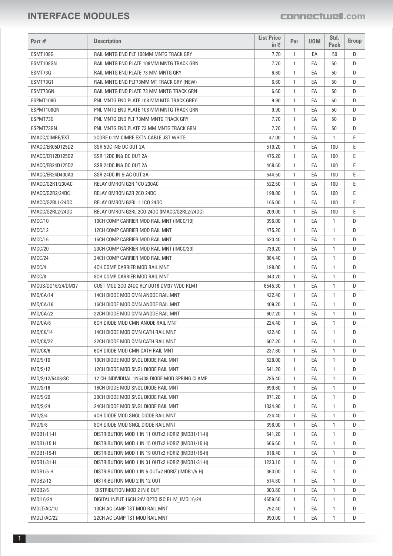| Part #             | <b>Description</b>                                | <b>List Price</b><br>in $\bar{\tau}$ | Per          | <b>UOM</b> | Std.<br>Pack | Group |
|--------------------|---------------------------------------------------|--------------------------------------|--------------|------------|--------------|-------|
|                    |                                                   |                                      |              |            |              |       |
| ESMT108G           | RAIL MNTG END PLT 108MM MNTG TRACK GRY            | 7.70                                 | 1            | EA         | 50           | D     |
| ESMT108GN          | RAIL MNTG END PLATE 108MM MNTG TRACK GRN          | 7.70                                 | $\mathbf{1}$ | EA         | 50           | D     |
| ESMT73G            | RAIL MNTG END PLATE 73 MM MNTG GRY                | 6.60                                 | $\mathbf{1}$ | EA         | 50           | D     |
| ESMT73G1           | RAIL MNTG END PLT73MM MT TRACK GRY (NEW)          | 6.60                                 | $\mathbf{1}$ | EA         | 50           | D     |
| ESMT73GN           | RAIL MNTG END PLATE 73 MM MNTG TRACK GRN          | 6.60                                 | $\mathbf{1}$ | EA         | 50           | D     |
| ESPMT108G          | PNL MNTG END PLATE 108 MM MTG TRACK GREY          | 9.90                                 | $\mathbf{1}$ | EA         | 50           | D     |
| ESPMT108GN         | PNL MNTG END PLATE 108 MM MNTG TRACK GRN          | 9.90                                 | $\mathbf{1}$ | EA         | 50           | D     |
| ESPMT73G           | PNL MNTG END PLT 73MM MNTG TRACK GRY              | 7.70                                 | $\mathbf{1}$ | EA         | 50           | D     |
| ESPMT73GN          | PNL MNTG END PLATE 73 MM MNTG TRACK GRN           | 7.70                                 | $\mathbf{1}$ | EA         | 50           | D     |
| IMACC/CIMRE/EXT    | 2CORE 0.1M CIMRE EXTN CABLE JST WHITE             | 47.00                                | $\mathbf{1}$ | EA         | 1            | Ε     |
| IMACC/ER05D125D2   | SSR 5DC IN& DC OUT 2A                             | 519.20                               | $\mathbf{1}$ | EA         | 100          | Ε     |
| IMACC/ER12D125D2   | SSR 12DC IN& DC OUT 2A                            | 475.20                               | $\mathbf{1}$ | EA         | 100          | Ε     |
| IMACC/ER24D125D2   | SSR 24DC IN& DC OUT 2A                            | 468.60                               | $\mathbf{1}$ | EA         | 100          | Ε     |
| IMACC/ER24D400A3   | SSR 24DC IN & AC OUT 3A                           | 544.50                               | $\mathbf{1}$ | EA         | 100          | E     |
| IMACC/G2R1/230AC   | RELAY OMRON G2R 1CO 230AC                         | 522.50                               | $\mathbf{1}$ | EA         | 100          | Ε     |
| IMACC/G2R2/24DC    | RELAY OMRON G2R 2CO 24DC                          | 198.00                               | $\mathbf{1}$ | EA         | 100          | Ε     |
| IMACC/G2RL1/24DC   | RELAY OMRON G2RL-1 1CO 24DC                       | 165.00                               | $\mathbf{1}$ | EA         | 100          | Ε     |
| IMACC/G2RL2/24DC   | RELAY OMRON G2RL 2CO 24DC (IMACC/G2RL2/24DC)      | 209.00                               | $\mathbf{1}$ | EA         | 100          | Ε     |
| IMCC/10            | 10CH COMP CARRIER MOD RAIL MNT (IMCC/10)          | 396.00                               | $\mathbf{1}$ | EA         | 1            | D     |
| IMCC/12            | 12CH COMP CARRIER MOD RAIL MNT                    | 475.20                               | $\mathbf{1}$ | EA         | 1            | D     |
| IMCC/16            | 16CH COMP CARRIER MOD RAIL MNT                    | 620.40                               | $\mathbf{1}$ | EA         | 1            | D     |
| IMCC/20            | 20CH COMP CARRIER MOD RAIL MNT (IMCC/20)          | 739.20                               | $\mathbf{1}$ | EA         | 1            | D     |
| IMCC/24            | 24CH COMP CARRIER MOD RAIL MNT                    | 884.40                               | $\mathbf{1}$ | EA         | 1            | D     |
| IMCC/4             | 4CH COMP CARRIER MOD RAIL MNT                     | 198.00                               | $\mathbf{1}$ | EA         | 1            | D     |
| IMCC/8             | 8CH COMP CARRIER MOD RAIL MNT                     | 343.20                               | $\mathbf{1}$ | EA         | 1            | D     |
| IMCUS/D016/24/DM37 | CUST MOD 2CO 24DC RLY D016 DM37 WDC RLMT          | 6545.30                              | $\mathbf{1}$ | EA         | 1            | D     |
| IMD/CA/14          | 14CH DIODE MOD CMN ANODE RAIL MNT                 | 422.40                               | 1            | EA         | 1            | D     |
| IMD/CA/16          | 16CH DIODE MOD CMN ANODE RAIL MNT                 | 409.20                               | $\mathbf{1}$ | EA         | 1            | D     |
| IMD/CA/22          | 22CH DIODE MOD CMN ANODE RAIL MNT                 | 607.20                               | $\mathbf{1}$ | EA         | 1            | D     |
| IMD/CA/6           | 6CH DIODE MOD CMN ANODE RAIL MNT                  | 224.40                               | $\mathbf{1}$ | EA         | 1            | D     |
| IMD/CK/14          | 14CH DIODE MOD CMN CATH RAIL MNT                  | 422.40                               | $\mathbf{1}$ | EA         | 1            | D     |
| IMD/CK/22          | 22CH DIODE MOD CMN CATH RAIL MNT                  | 607.20                               | $\mathbf{1}$ | EA         | 1            | D     |
| IMD/CK/6           | 6CH DIODE MOD CMN CATH RAIL MNT                   | 237.60                               | 1            | EA         | 1            | D     |
| IMD/S/10           | 10CH DIODE MOD SNGL DIODE RAIL MNT                | 528.00                               | $\mathbf{1}$ | EA         | 1            | D     |
| IMD/S/12           | 12CH DIODE MOD SNGL DIODE RAIL MNT                | 541.20                               | $\mathbf{1}$ | EA         | 1            | D     |
| IMD/S/12/5408/SC   | 12 CH INDIVIDUAL 1N5408-DIODE MOD SPRING CLAMP    | 785.40                               | 1            | EA         | 1            | D     |
| IMD/S/16           | 16CH DIODE MOD SNGL DIODE RAIL MNT                | 699.60                               | $\mathbf{1}$ | EA         | 1            | D     |
| IMD/S/20           | 20CH DIODE MOD SNGL DIODE RAIL MNT                | 871.20                               | $\mathbf{1}$ | EA         | 1            | D     |
| IMD/S/24           | 24CH DIODE MOD SNGL DIODE RAIL MNT                | 1034.90                              | 1            | EA         | 1            | D     |
| IMD/S/4            | 4CH DIODE MOD SNGL DIODE RAIL MNT                 | 224.40                               | $\mathbf{1}$ | EA         | 1            | D     |
| IMD/S/8            | 8CH DIODE MOD SNGL DIODE RAIL MNT                 | 396.00                               | $\mathbf{1}$ | EA         | 1            | D     |
| $IMDB1/11-H$       | DISTRIBUTION MOD 1 IN 11 OUTx2 HORIZ (IMDB1/11-H) | 541.20                               | 1            | EA         | 1            | D     |
| <b>IMDB1/15-H</b>  | DISTRIBUTION MOD 1 IN 15 OUTx2 HORIZ (IMDB1/15-H) | 666.60                               | $\mathbf{1}$ | EA         | 1            | D     |
| $IMDB1/19-H$       | DISTRIBUTION MOD 1 IN 19 OUTx2 HORIZ (IMDB1/19-H) | 818.40                               | $\mathbf{1}$ | EA         | 1            | D     |
| $IMDB1/31-H$       | DISTRIBUTION MOD 1 IN 31 OUTx2 HORIZ (IMDB1/31-H) | 1223.10                              | 1            | EA         | 1            | D     |
| $IMDB1/5-H$        | DISTRIBUTION MOD 1 IN 5 OUTx2 HORIZ (IMDB1/5-H)   | 363.00                               | $\mathbf{1}$ | EA         | 1            | D     |
| <b>IMDB2/12</b>    | DISTRIBUTION MOD 2 IN 12 OUT                      | 514.80                               | $\mathbf{1}$ | EA         | 1            | D     |
| IMDB2/6            | DISTRIBUTION MOD 2 IN 6 OUT                       | 303.60                               | $\mathbf{1}$ | EA         | -1           | D     |
| <b>IMDI16/24</b>   | DIGITAL INPUT 16CH 24V OPTO ISO RL M IMDI16/24    | 4659.60                              | $\mathbf{1}$ | EA         | $\mathbf{1}$ | D     |
| IMDLT/AC/10        | 10CH AC LAMP TST MOD RAIL MNT                     | 752.40                               | $\mathbf{1}$ | EA         | 1            | D     |
| IMDLT/AC/22        | 22CH AC LAMP TST MOD RAIL MNT                     | 990.00                               | $\mathbf{1}$ | EA         | 1            | D     |
|                    |                                                   |                                      |              |            |              |       |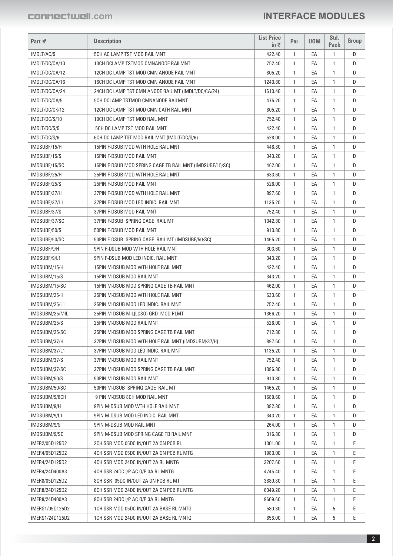| Part #                        | <b>Description</b>                                                    | <b>List Price</b><br>in₹ | Per          | <b>UOM</b> | Std.<br><b>Pack</b> | Group |
|-------------------------------|-----------------------------------------------------------------------|--------------------------|--------------|------------|---------------------|-------|
| IMDLT/AC/5                    | 5CH AC LAMP TST MOD RAIL MNT                                          | 422.40                   | $\mathbf{1}$ | EA         | 1                   | D     |
| IMDLT/DC/CA/10                | 10CH DCLAMP TSTMOD CMNANODE RAILMNT                                   | 752.40                   | 1            | EA         | 1                   | D     |
| IMDLT/DC/CA/12                | 12CH DC LAMP TST MOD CMN ANODE RAIL MNT                               | 805.20                   | $\mathbf{1}$ | EA         | 1                   | D     |
| IMDLT/DC/CA/16                | 16CH DC LAMP TST MOD CMN ANODE RAIL MNT                               | 1240.80                  | $\mathbf{1}$ | EA         | 1                   | D     |
| IMDLT/DC/CA/24                | 24CH DC LAMP TST CMN ANODE RAIL MT (IMDLT/DC/CA/24)                   | 1610.40                  | $\mathbf{1}$ | EA         | 1                   | D     |
| IMDLT/DC/CA/5                 | 5CH DCLAMP TSTMOD CMNANODE RAILMNT                                    | 475.20                   | $\mathbf{1}$ | EA         | 1                   | D     |
| IMDLT/DC/CK/12                | 12CH DC LAMP TST MOD CMN CATH RAIL MNT                                | 805.20                   | $\mathbf{1}$ | EA         | 1                   | D     |
| IMDLT/DC/S/10                 | 10CH DC LAMP TST MOD RAIL MNT                                         | 752.40                   | $\mathbf{1}$ | EA         | 1                   | D     |
| IMDLT/DC/S/5                  | 5CH DC LAMP TST MOD RAIL MNT                                          | 422.40                   | $\mathbf{1}$ | EA         | 1                   | D     |
| IMDLT/DC/S/6                  | 6CH DC LAMP TST MOD RAIL MNT (IMDLT/DC/S/6)                           | 528.00                   | 1            | EA         | 1                   | D     |
| IMDSUBF/15/H                  | 15PIN F-DSUB MOD WTH HOLE RAIL MNT                                    | 448.80                   | 1            | EA         | 1                   | D     |
| IMDSUBF/15/S                  | 15PIN F-DSUB MOD RAIL MNT                                             | 343.20                   | 1            | EA         | 1                   | D     |
| IMDSUBF/15/SC                 | 15PIN F-DSUB MOD SPRING CAGE TB RAIL MNT (IMDSUBF/15/SC)              | 462.00                   | $\mathbf{1}$ | EA         | 1                   | D     |
| IMDSUBF/25/H                  | 25PIN F-DSUB MOD WTH HOLE RAIL MNT                                    | 633.60                   | 1            | EA         | 1                   | D     |
| IMDSUBF/25/S                  | 25PIN F-DSUB MOD RAIL MNT                                             | 528.00                   | 1            | EA         | 1                   | D     |
| IMDSUBF/37/H                  | 37PIN F-DSUB MOD WTH HOLE RAIL MNT                                    | 897.60                   | 1            | EA         | $\mathbf{1}$        | D     |
| IMDSUBF/37/L1                 | 37PIN F-DSUB MOD LED INDIC. RAIL MNT                                  | 1135.20                  | 1            | EA         | 1                   | D     |
| IMDSUBF/37/S                  | 37PIN F-DSUB MOD RAIL MNT                                             | 752.40                   | $\mathbf{1}$ | EA         | 1                   | D     |
| IMDSUBF/37/SC                 | 37PIN F-DSUB SPRING CAGE RAIL MT                                      | 1042.80                  | 1            | EA         | 1                   | D     |
| IMDSUBF/50/S                  | 50PIN F-DSUB MOD RAIL MNT                                             | 910.80                   | 1            | EA         | 1                   | D     |
| IMDSUBF/50/SC                 | 50PIN F-DSUB SPRING CAGE RAIL MT (IMDSUBF/50/SC)                      | 1465.20                  | 1            | EA         | 1                   | D     |
| IMDSUBF/9/H                   | 9PIN F-DSUB MOD WTH HOLE RAIL MNT                                     | 303.60                   | $\mathbf{1}$ | EA         | 1                   | D     |
| IMDSUBF/9/L1                  | 9PIN F-DSUB MOD LED INDIC. RAIL MNT                                   | 343.20                   | $\mathbf{1}$ | EA         | 1                   | D     |
| IMDSUBM/15/H                  | 15PIN M-DSUB MOD WTH HOLE RAIL MNT                                    | 422.40                   | $\mathbf{1}$ | EA         | 1                   | D     |
| IMDSUBM/15/S                  | 15PIN M-DSUB MOD RAIL MNT                                             | 343.20                   | $\mathbf{1}$ | EA         | 1                   | D     |
| IMDSUBM/15/SC                 | 15PIN M-DSUB MOD SPRING CAGE TB RAIL MNT                              | 462.00                   | 1            | EA         | 1                   | D     |
| IMDSUBM/25/H                  | 25PIN M-DSUB MOD WTH HOLE RAIL MNT                                    | 633.60                   | $\mathbf{1}$ | EA         | 1                   | D     |
| IMDSUBM/25/L1                 | 25PIN M-DSUB MOD LED INDIC. RAIL MNT                                  | 752.40                   | 1            | EA         | 1                   | D     |
| IMDSUBM/25/MIL                | 25PIN M-DSUB MIL(LCSO) GRD MOD RLMT                                   | 1366.20                  | $\mathbf{1}$ | EA         | 1                   | D     |
| IMDSUBM/25/S                  | 25PIN M-DSUB MOD RAIL MNT                                             | 528.00                   | 1            | EA         | 1                   | D     |
| IMDSUBM/25/SC                 | 25PIN M-DSUB MOD SPRING CAGE TB RAIL MNT                              | 712.80                   | 1            | EA         | 1                   | D     |
|                               | 37PIN M-DSUB MOD WTH HOLE RAIL MNT (IMDSUBM/37/H)                     | 897.60                   |              | EA         | 1                   | D     |
| IMDSUBM/37/H<br>IMDSUBM/37/L1 | 37PIN M-DSUB MOD LED INDIC. RAIL MNT                                  | 1135.20                  | 1<br>1       | EA         | 1                   | D     |
|                               |                                                                       |                          |              |            |                     | D     |
| IMDSUBM/37/S                  | 37PIN M-DSUB MOD RAIL MNT<br>37PIN M-DSUB MOD SPRING CAGE TB RAIL MNT | 752.40<br>1086.80        | $\mathbf{1}$ | EA         | 1                   | D     |
| IMDSUBM/37/SC                 |                                                                       |                          | 1            | EA         | 1                   |       |
| IMDSUBM/50/S                  | 50PIN M-DSUB MOD RAIL MNT<br>50PIN M-DSUB SPRING CAGE RAIL MT         | 910.80                   | 1            | EA         | 1                   | D     |
| IMDSUBM/50/SC                 |                                                                       | 1465.20                  | $\mathbf{1}$ | EA         | 1                   | D     |
| IMDSUBM/9/8CH                 | 9 PIN M-DSUB 8CH MOD RAIL MNT                                         | 1689.60                  | 1            | EA         | 1                   | D     |
| IMDSUBM/9/H                   | 9PIN M-DSUB MOD WTH HOLE RAIL MNT                                     | 382.80                   | 1            | EA         | 1                   | D     |
| IMDSUBM/9/L1                  | 9PIN M-DSUB MOD LED INDIC. RAIL MNT                                   | 343.20                   | 1            | EA         | 1                   | D     |
| IMDSUBM/9/S                   | 9PIN M-DSUB MOD RAIL MNT                                              | 264.00                   | 1            | EA         | 1                   | D     |
| IMDSUBM/9/SC                  | 9PIN M-DSUB MOD SPRING CAGE TB RAIL MNT                               | 316.80                   | 1            | EA         | 1                   | D     |
| IMER2/05D125D2                | 2CH SSR MOD 05DC IN/OUT 2A ON PCB RL                                  | 1001.00                  | 1            | EA         | 1                   | E     |
| IMER4/05D125D2                | 4CH SSR MOD 05DC IN/OUT 2A ON PCB RL MTG                              | 1980.00                  | 1            | EA         | 1                   | Ε     |
| IMER4/24D125D2                | 4CH SSR MOD 24DC IN/OUT 2A RL MNTG                                    | 3207.60                  | 1            | EA         | 1                   | Е     |
| IMER4/24D400A3                | 4CH SSR 24DC I/P AC O/P 3A RL MNTG                                    | 4745.40                  | 1            | EA         | 1                   | E     |
| IMER8/05D125D2                | 8CH SSR 05DC IN/OUT 2A ON PCB RL MT                                   | 3880.80                  | $\mathbf{1}$ | EA         | 1                   | E     |
| IMER8/24D125D2                | 8CH SSR MOD 24DC IN/OUT 2A ON PCB RL MTG                              | 6349.20                  | 1            | EA         | 1                   | Е     |
| IMER8/24D400A3                | 8CH SSR 24DC I/P AC 0/P 3A RL MNTG                                    | 9609.60                  | 1            | EA         | 1                   | E     |
| IMERS1/05D125D2               | 1CH SSR MOD 05DC IN/OUT 2A BASE RL MNTG                               | 580.80                   | 1            | EA         | 5                   | E     |
| IMERS1/24D125D2               | 1CH SSR MOD 24DC IN/OUT 2A BASE RL MNTG                               | 858.00                   | 1            | EA         | 5                   | Е     |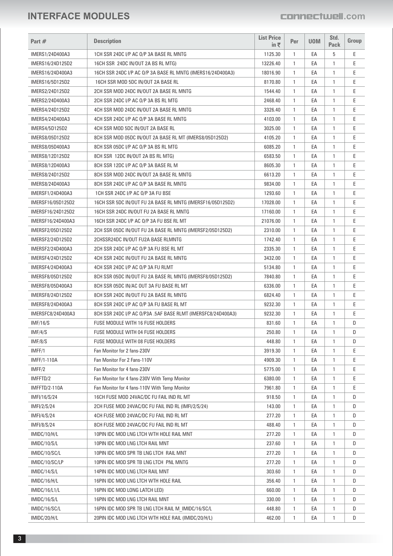| Part #               | <b>Description</b>                                           | <b>List Price</b><br>in $\bar{\tau}$ | Per          | <b>UOM</b> | Std.<br><b>Pack</b> | Group |
|----------------------|--------------------------------------------------------------|--------------------------------------|--------------|------------|---------------------|-------|
| IMERS1/24D400A3      | 1CH SSR 24DC I/P AC O/P 3A BASE RL MNTG                      | 1125.30                              | $\mathbf{1}$ | EA         | 5                   | Ε     |
| IMERS16/24D125D2     | 16CH SSR 24DC IN/OUT 2A BS RL MTG)                           | 13226.40                             | $\mathbf{1}$ | EA         | $\mathbf{1}$        | E     |
| IMERS16/24D400A3     | 16CH SSR 24DC I/P AC 0/P 3A BASE RL MNTG (IMERS16/24D400A3)  | 18016.90                             | $\mathbf{1}$ | EA         | 1                   | E     |
| IMERS16/5D125D2      | 16CH SSR MOD 5DC IN/OUT 2A BASE RL                           | 8170.80                              | $\mathbf{1}$ | EA         | 1                   | Ε     |
| IMERS2/24D125D2      | 2CH SSR MOD 24DC IN/OUT 2A BASE RL MNTG                      | 1544.40                              | $\mathbf{1}$ | EA         | 1                   | Ε     |
| IMERS2/24D400A3      | 2CH SSR 24DC I/P AC O/P 3A BS RL MTG                         | 2468.40                              | $\mathbf{1}$ | EA         | 1                   | E     |
| IMERS4/24D125D2      | 4CH SSR MOD 24DC IN/OUT 2A BASE RL MNTG                      | 3326.40                              | $\mathbf{1}$ | EA         | $\mathbf{1}$        | Ε     |
| IMERS4/24D400A3      | 4CH SSR 24DC I/P AC O/P 3A BASE RL MNTG                      | 4103.00                              | $\mathbf{1}$ | EA         | $\mathbf{1}$        | E     |
| IMERS4/5D125D2       | 4CH SSR MOD 5DC IN/OUT 2A BASE RL                            | 3025.00                              | $\mathbf{1}$ | EA         | 1                   | E     |
| IMERS8/05D125D2      | 8CH SSR MOD 05DC IN/OUT 2A BASE RL MT (IMERS8/05D125D2)      | 4105.20                              | $\mathbf{1}$ | EA         | 1                   | Ε     |
| IMERS8/05D400A3      | 8CH SSR 05DC I/P AC 0/P 3A BS RL MTG                         | 6085.20                              | $\mathbf{1}$ | EA         | 1                   | E     |
| IMERS8/12D125D2      | 8CH SSR 12DC IN/OUT 2A BS RL MTG)                            | 6583.50                              | $\mathbf{1}$ | EA         | 1                   | E     |
| IMERS8/12D400A3      | 8CH SSR 12DC I/P AC 0/P 3A BASE RL M                         | 8605.30                              | $\mathbf{1}$ | EA         | 1                   | E     |
| IMERS8/24D125D2      | 8CH SSR MOD 24DC IN/OUT 2A BASE RL MNTG                      | 6613.20                              | $\mathbf{1}$ | EA         | 1                   | E     |
| IMERS8/24D400A3      | 8CH SSR 24DC I/P AC 0/P 3A BASE RL MNTG                      | 9834.00                              | $\mathbf{1}$ | EA         | 1                   | E     |
| IMERSF1/24D400A3     | 1CH SSR 24DC I/P AC O/P 3A FU BSE                            | 1293.60                              | $\mathbf{1}$ | EA         | 1                   | E     |
| IMERSF16/05D125D2    | 16CH SSR 5DC IN/OUT FU 2A BASE RL MNTG (IMERSF16/05D125D2)   | 17028.00                             | $\mathbf{1}$ | EA         | 1                   | E     |
| IMERSF16/24D125D2    |                                                              | 17160.00                             | $\mathbf{1}$ | EA         | 1                   | E     |
|                      | 16CH SSR 24DC IN/OUT FU 2A BASE RL MNTG                      |                                      |              |            |                     |       |
| IMERSF16/24D400A3    | 16CH SSR 24DC I/P AC O/P 3A FU BSE RL MT                     | 21076.00                             | $\mathbf{1}$ | EA         | 1                   | E     |
| IMERSF2/05D125D2     | 2CH SSR 05DC IN/OUT FU 2A BASE RL MNTG (IMERSF2/05D125D2)    | 2310.00                              | $\mathbf{1}$ | EA         | 1                   | Ε     |
| IMERSF2/24D125D2     | 2CHSSR24DC IN/OUT FU2A BASE RLMNTG                           | 1742.40                              | 1            | EA         | 1                   | E     |
| IMERSF2/24D400A3     | 2CH SSR 24DC I/P AC 0/P 3A FU BSE RL MT                      | 2335.30                              | $\mathbf{1}$ | EA         | 1                   | Ε     |
| IMERSF4/24D125D2     | 4CH SSR 24DC IN/OUT FU 2A BASE RL MNTG                       | 3432.00                              | $\mathbf{1}$ | EA         | 1                   | E     |
| IMERSF4/24D400A3     | 4CH SSR 24DC I/P AC O/P 3A FU RLMT                           | 5134.80                              | $\mathbf{1}$ | EA         | 1                   | E     |
| IMERSF8/05D125D2     | 8CH SSR 05DC IN/OUT FU 2A BASE RL MNTG (IMERSF8/05D125D2)    | 7840.80                              | $\mathbf{1}$ | EA         | 1                   | E     |
| IMERSF8/05D400A3     | 8CH SSR 05DC IN/AC OUT 3A FU BASE RL MT                      | 6336.00                              | $\mathbf{1}$ | EA         | $\mathbf{1}$        | E     |
| IMERSF8/24D125D2     | 8CH SSR 24DC IN/OUT FU 2A BASE RL MNTG                       | 6824.40                              | $\mathbf{1}$ | EA         | 1                   | E     |
| IMERSF8/24D400A3     | 8CH SSR 24DC I/P AC 0/P 3A FU BASE RL MT                     | 9232.30                              | $\mathbf{1}$ | EA         | 1                   | Ε     |
| IMERSFC8/24D400A3    | 8CH SSR 24DC I/P AC 0/P3A .5AF BASE RLMT (IMERSFC8/24D400A3) | 9232.30                              | $\mathbf{1}$ | EA         | $\mathbf{1}$        | E     |
| IMF/16/S             | <b>FUSE MODULE WITH 16 FUSE HOLDERS</b>                      | 831.60                               | $\mathbf{1}$ | EA         | $\mathbf{1}$        | D     |
| IMF/4/S              | <b>FUSE MODULE WITH 04 FUSE HOLDERS</b>                      | 250.80                               | 1            | EA         | 1                   | D     |
| IMF/8/S              | <b>FUSE MODULE WITH 08 FUSE HOLDERS</b>                      | 448.80                               | 1            | EA         | 1                   | D     |
| IMFF/1               | Fan Monitor for 2 fans-230V                                  | 3919.30                              | 1            | EA         | 1                   | Ε     |
| <b>IMFF/1-110A</b>   | Fan Monitor For 2 Fans-110V                                  | 4909.30                              | $\mathbf{1}$ | EA         | 1                   | Ε     |
| IMFF/2               | Fan Monitor for 4 fans-230V                                  | 5775.00                              | $\mathbf{1}$ | EA         | 1                   | Ε     |
| IMFFTD/2             | Fan Monitor for 4 fans-230V With Temp Monitor                | 6380.00                              | 1            | EA         | 1                   | Ε     |
| IMFFTD/2-110A        | Fan Monitor for 4 fans-110V With Temp Monitor                | 7961.80                              | $\mathbf{1}$ | EA         | $\mathbf{1}$        | Ε     |
| IMFI/16/S/24         | 16CH FUSE MOD 24VAC/DC FU FAIL IND RL MT                     | 918.50                               | $\mathbf{1}$ | EA         | $\mathbf{1}$        | D     |
| IMFI/2/S/24          | 2CH FUSE MOD 24VAC/DC FU FAIL IND RL (IMFI/2/S/24)           | 143.00                               | $\mathbf{1}$ | EA         | 1                   | D     |
| IMFI/4/S/24          | 4CH FUSE MOD 24VAC/DC FU FAIL IND RL MT                      | 277.20                               | $\mathbf{1}$ | EA         | $\mathbf{1}$        | D     |
| IMFI/8/S/24          | 8CH FUSE MOD 24VAC/DC FU FAIL IND RL MT                      | 488.40                               | $\mathbf{1}$ | EA         | 1                   | D     |
| IMIDC/10/H/L         | 10PIN IDC MOD LNG LTCH WTH HOLE RAIL MNT                     | 277.20                               | 1            | EA         | 1                   | D     |
| IMIDC/10/S/L         | 10PIN IDC MOD LNG LTCH RAIL MNT                              | 237.60                               | $\mathbf{1}$ | EA         | $\mathbf{1}$        | D     |
| IMIDC/10/SC/L        | 10PIN IDC MOD SPR TB LNG LTCH RAIL MNT                       | 277.20                               | $\mathbf{1}$ | EA         | 1                   | D     |
| IMIDC/10/SC/LP       | 10PIN IDC MOD SPR TB LNG LTCH PNL MNTG                       | 277.20                               | 1            | EA         | 1                   | D     |
| IMIDC/14/S/L         | 14PIN IDC MOD LNG LTCH RAIL MNT                              | 303.60                               | $\mathbf{1}$ | EA         | 1                   | D     |
| IMIDC/16/H/L         | 16PIN IDC MOD LNG LTCH WTH HOLE RAIL                         | 356.40                               | $\mathbf{1}$ | EA         | 1                   | D     |
| <b>IMIDC/16/L1/L</b> | 16PIN IDC MOD LONG LATCH LED)                                | 660.00                               | 1            | EA         | 1                   | D     |
| IMIDC/16/S/L         | 16PIN IDC MOD LNG LTCH RAIL MNT                              | 330.00                               | $\mathbf{1}$ | EA         | $\mathbf{1}$        | D     |
| IMIDC/16/SC/L        | 16PIN IDC MOD SPR TB LNG LTCH RAIL M IMIDC/16/SC/L           | 448.80                               | $\mathbf{1}$ | EA         | 1                   | D     |
| IMIDC/20/H/L         | 20PIN IDC MOD LNG LTCH WTH HOLE RAIL (IMIDC/20/H/L)          | 462.00                               | $\mathbf{1}$ | EA         | 1                   | D     |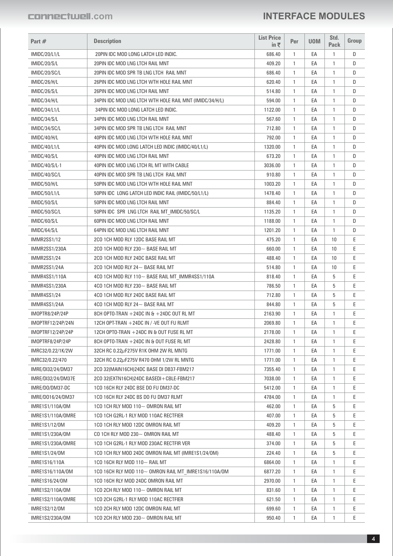| Part #                 | <b>Description</b>                                                              | <b>List Price</b><br>in₹ | Per          | <b>UOM</b> | Std.<br><b>Pack</b> | Group |
|------------------------|---------------------------------------------------------------------------------|--------------------------|--------------|------------|---------------------|-------|
| <b>IMIDC/20/L1/L</b>   | 20PIN IDC MOD LONG LATCH LED INDIC.                                             | 686.40                   | 1            | EA         | 1                   | D     |
| IMIDC/20/S/L           | 20PIN IDC MOD LNG LTCH RAIL MNT                                                 | 409.20                   | 1            | EA         | 1                   | D     |
| IMIDC/20/SC/L          | 20PIN IDC MOD SPR TB LNG LTCH RAIL MNT                                          | 686.40                   | $\mathbf{1}$ | EA         | 1                   | D     |
| IMIDC/26/H/L           | 26PIN IDC MOD LNG LTCH WTH HOLE RAIL MNT                                        | 620.40                   | 1            | EA         | 1                   | D     |
| IMIDC/26/S/L           | 26PIN IDC MOD LNG LTCH RAIL MNT                                                 | 514.80                   | 1            | EA         | 1                   | D     |
| IMIDC/34/H/L           | 34PIN IDC MOD LNG LTCH WTH HOLE RAIL MNT (IMIDC/34/H/L)                         | 594.00                   | $\mathbf{1}$ | EA         | 1                   | D     |
| IMIDC/34/L1/L          | 34PIN IDC MOD LONG LATCH LED INDIC.                                             | 1122.00                  | $\mathbf{1}$ | EA         | 1                   | D     |
| IMIDC/34/S/L           | 34PIN IDC MOD LNG LTCH RAIL MNT                                                 | 567.60                   | $\mathbf{1}$ | EA         | 1                   | D     |
| IMIDC/34/SC/L          | 34PIN IDC MOD SPR TB LNG LTCH RAIL MNT                                          | 712.80                   | 1            | EA         | 1                   | D     |
| IMIDC/40/H/L           | 40PIN IDC MOD LNG LTCH WTH HOLE RAIL MNT                                        | 792.00                   | 1            | EA         | 1                   | D     |
| IMIDC/40/L1/L          | 40PIN IDC MOD LONG LATCH LED INDIC (IMIDC/40/L1/L)                              | 1320.00                  | 1            | EA         | 1                   | D     |
| IMIDC/40/S/L           | 40PIN IDC MOD LNG LTCH RAIL MNT                                                 | 673.20                   | $\mathbf{1}$ | EA         | 1                   | D     |
| IMIDC/40/S/L-1         | 40PIN IDC MOD LNG LTCH RL MT WITH CABLE                                         | 3036.00                  | 1            | EA         | 1                   | D     |
| IMIDC/40/SC/L          | 40PIN IDC MOD SPR TB LNG LTCH RAIL MNT                                          | 910.80                   | 1            | EA         | 1                   | D     |
| IMIDC/50/H/L           | 50PIN IDC MOD LNG LTCH WTH HOLE RAIL MNT                                        | 1003.20                  | 1            | EA         | 1                   | D     |
| IMIDC/50/L1/L          | 50PIN IDC LONG LATCH LED INDIC RAIL (IMIDC/50/L1/L)                             | 1478.40                  | 1            | EA         | 1                   | D     |
| IMIDC/50/S/L           | 50PIN IDC MOD LNG LTCH RAIL MNT                                                 | 884.40                   | 1            | EA         | 1                   | D     |
| IMIDC/50/SC/L          |                                                                                 | 1135.20                  | $\mathbf{1}$ | EA         | 1                   | D     |
| IMIDC/60/S/L           | 50PIN IDC SPR LNG LTCH RAIL MT_IMIDC/50/SC/L<br>60PIN IDC MOD LNG LTCH RAIL MNT | 1188.00                  | 1            | EA         | 1                   | D     |
|                        |                                                                                 |                          | 1            | EA         |                     | D     |
| IMIDC/64/S/L           | 64PIN IDC MOD LNG LTCH RAIL MNT                                                 | 1201.20                  |              |            | 1                   |       |
| <b>IMMR2SS1/12</b>     | 2CO 1CH MOD RLY 12DC BASE RAIL MT                                               | 475.20                   | 1            | EA         | 10                  | Е     |
| IMMR2SS1/230A          | 2CO 1CH MOD RLY 230 $\sim$ BASE RAIL MT                                         | 660.00                   | 1            | EA         | 10                  | E     |
| IMMR2SS1/24            | 2CO 1CH MOD RLY 24DC BASE RAIL MT                                               | 488.40                   | 1            | EA         | 10                  | E     |
| IMMR2SS1/24A           | 2CO 1CH MOD RLY 24 $\sim$ BASE RAIL MT                                          | 514.80                   | 1            | EA         | 10                  | Е     |
| IMMR4SS1/110A          | 4CO 1CH MOD RLY 110~ BASE RAIL MT_IMMR4SS1/110A                                 | 818.40                   | 1            | EA         | 5                   | E     |
| IMMR4SS1/230A          | 4CO 1CH MOD RLY 230 $\sim$ BASE RAIL MT                                         | 786.50                   | 1            | EA         | 5                   | E     |
| <b>IMMR4SS1/24</b>     | 4CO 1CH MOD RLY 24DC BASE RAIL MT                                               | 712.80                   | 1            | EA         | 5                   | E     |
| IMMR4SS1/24A           | 4CO 1CH MOD RLY 24~ BASE RAIL MT                                                | 844.80                   | 1            | EA         | 5                   | E     |
| <b>IMOPTR8/24P/24P</b> | 8CH OPTO-TRAN +24DC IN & +24DC OUT RL MT                                        | 2163.90                  | 1            | EA         | 1                   | E     |
| IMOPTRF12/24P/24N      | 12CH OPT-TRAN +24DC IN / -VE OUT FU RLMT                                        | 2069.80                  | 1            | EA         | 1                   | E     |
| IMOPTRF12/24P/24P      | 12CH OPTO-TRAN +24DC IN & OUT FUSE RL MT                                        | 2178.00                  | 1            | EA         | 1                   | Е     |
| IMOPTRF8/24P/24P       | 8CH OPTO-TRAN +24DC IN & OUT FUSE RL MT                                         | 2428.80                  | 1            | EA         |                     | Ε     |
| IMRC32/0.22/1K/2W      | 32CH RC 0.22µF275V R1K OHM 2W RL MNTG                                           | 1771.00                  | 1            | EA         | 1                   | E     |
| IMRC32/0.22/470        | 32CH RC 0.22µF275V R470 OHM 1/2W RL MNTG                                        | 1771.00                  | 1            | EA         | 1                   | E     |
| IMRE/DI32/24/DM37      | 2CO 32(MAIN16CH)24DC BASE DI DB37-FBM217                                        | 7355.40                  | 1            | EA         | 1                   | Ε     |
| IMRE/DI32/24/DM37E     | 2CO 32(EXTN16CH)24DC BASEDI+CBLE-FBM217                                         | 7038.00                  | 1            | EA         | 1                   | Ε     |
| IMRE/DO/DM37-DC        | 1CO 16CH RLY 24DC BSE DO FU DM37-DC                                             | 5412.00                  | 1            | EA         | 1                   | E     |
| IMRE/D016/24/DM37      | 1CO 16CH RLY 24DC BS DO FU DM37 RLMT                                            | 4784.00                  | 1            | EA         | 1                   | E     |
| IMRE1S1/110A/0M        | 1CO 1CH RLY MOD 110 $\sim$ OMRON RAIL MT                                        | 462.00                   | 1            | EA         | 5                   | Ε     |
| IMRE1S1/110A/OMRE      | 1CO 1CH G2RL-1 RLY MOD 110AC RECTFIER                                           | 407.00                   | 1            | EA         | 5                   | E     |
| IMRE1S1/12/0M          | 1CO 1CH RLY MOD 12DC OMRON RAIL MT                                              | 409.20                   | 1            | EA         | 5                   | E     |
| IMRE1S1/230A/0M        | CO 1CH RLY MOD 230 $\sim$ OMRON RAIL MT                                         | 488.40                   | 1            | EA         | 5                   | Ε     |
| IMRE1S1/230A/OMRE      | 1CO 1CH G2RL-1 RLY MOD 230AC RECTFIR VER                                        | 374.00                   | 1            | EA         | 5                   | Ε     |
| IMRE1S1/24/0M          | 1CO 1CH RLY MOD 24DC OMRON RAIL MT (IMRE1S1/24/OM)                              | 224.40                   | 1            | EA         | 5                   | E     |
| IMRE1S16/110A          | 1CO 16CH RLY MOD 110 $\sim$ RAIL MT                                             | 6864.00                  | 1            | EA         | 1                   | Ε     |
| IMRE1S16/110A/0M       | 1CO 16CH RLY MOD 110~ OMRON RAIL MT_IMRE1S16/110A/OM                            | 6877.20                  | 1            | EA         | 1                   | Ε     |
| IMRE1S16/24/0M         | 1CO 16CH RLY MOD 24DC OMRON RAIL MT                                             | 2970.00                  | 1            | EA         | 1                   | Ε     |
| IMRE1S2/110A/0M        | 1CO 2CH RLY MOD 110 $\sim$ OMRON RAIL MT                                        | 831.60                   | 1            | EA         | 1                   | Ε     |
| IMRE1S2/110A/OMRE      | 1CO 2CH G2RL-1 RLY MOD 110AC RECTFIER                                           | 621.50                   | 1            | EA         | 1                   | Е     |
| IMRE1S2/12/0M          | 1CO 2CH RLY MOD 12DC OMRON RAIL MT                                              | 699.60                   | 1            | EA         | 1                   | Ε     |
| IMRE1S2/230A/0M        | 1CO 2CH RLY MOD 230 $\sim$ OMRON RAIL MT                                        | 950.40                   | 1            | EA         | 1                   | Ε     |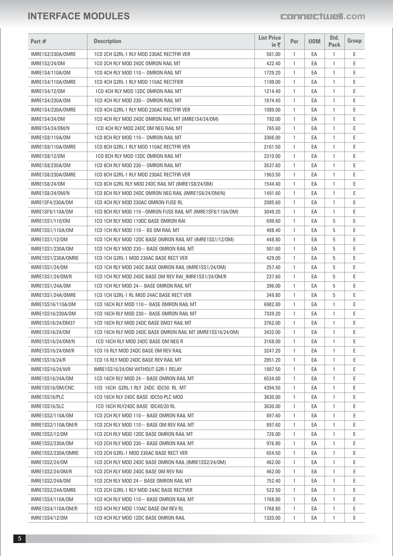| Part $#$                            | <b>Description</b>                                               | <b>List Price</b><br>in ₹ | Per          | <b>UOM</b> | Std.<br>Pack                 | Group |
|-------------------------------------|------------------------------------------------------------------|---------------------------|--------------|------------|------------------------------|-------|
|                                     | 1CO 2CH G2RL-1 RLY MOD 230AC RECTFIR VER                         |                           |              |            | $\mathbf{1}$                 |       |
| IMRE1S2/230A/OMRE                   |                                                                  | 561.00                    | $\mathbf{1}$ | EA         |                              | Ε     |
| IMRE1S2/24/0M                       | 1CO 2CH RLY MOD 24DC OMRON RAIL MT                               | 422.40                    | $\mathbf{1}$ | EA         | $\mathbf{1}$                 | E     |
| IMRE1S4/110A/0M                     | 1CO 4CH RLY MOD 110~ OMRON RAIL MT                               | 1729.20                   | $\mathbf{1}$ | EA         | $\mathbf{1}$<br>$\mathbf{1}$ | E     |
| IMRE1S4/110A/OMRE                   | 1CO 4CH G2RL-1 RLY MOD 110AC RECTFIER                            | 1199.00                   | $\mathbf{1}$ | EA         |                              | Ε     |
| IMRE1S4/12/0M                       | 1CO 4CH RLY MOD 12DC OMRON RAIL MT                               | 1214.40                   | $\mathbf{1}$ | EA         | $\mathbf{1}$                 | Ε     |
| IMRE1S4/230A/0M                     | 1CO 4CH RLY MOD 230~ OMRON RAIL MT                               | 1874.40                   | $\mathbf{1}$ | EA         | $\mathbf{1}$                 | E     |
| IMRE1S4/230A/OMRE                   | 1CO 4CH G2RL-1 RLY MOD 230AC RECTFIR VER                         | 1089.00                   | $\mathbf{1}$ | EA         | 1                            | E     |
| IMRE1S4/24/0M                       | 1CO 4CH RLY MOD 24DC OMRON RAIL MT (IMRE1S4/24/0M)               | 792.00                    | $\mathbf{1}$ | EA         | $\mathbf{1}$                 | E     |
| IMRE1S4/24/0M/N                     | 1CO 4CH RLY MOD 24DC OM NEG RAIL MT                              | 765.60                    | $\mathbf{1}$ | EA         | $\mathbf{1}$                 | E     |
| IMRE1S8/110A/0M                     | 1CO 8CH RLY MOD 110 $\sim$ OMRON RAIL MT                         | 3366.00                   | $\mathbf{1}$ | EA         | $\mathbf{1}$                 | E     |
| IMRE1S8/110A/OMRE                   | 1CO 8CH G2RL-1 RLY MOD 110AC RECTFIR VER                         | 2161.50                   | $\mathbf{1}$ | EA         | $\mathbf{1}$                 | E     |
| IMRE1S8/12/0M                       | 1CO 8CH RLY MOD 12DC OMRON RAIL MT                               | 2310.00                   | $\mathbf{1}$ | EA         | $\mathbf{1}$                 | E     |
| IMRE1S8/230A/0M                     | 1CO 8CH RLY MOD 230~ OMRON RAIL MT                               | 3537.60                   | $\mathbf{1}$ | EA         | $\mathbf{1}$                 | E     |
| IMRE1S8/230A/OMRE                   | 1CO 8CH G2RL-1 RLY MOD 230AC RECTFIR VER                         | 1963.50                   | $\mathbf{1}$ | EA         | $\mathbf{1}$                 | E     |
| IMRE1S8/24/0M                       | 1CO 8CH G2RL RLY MOD 24DC RAIL MT (IMRE1S8/24/0M)                | 1544.40                   | $\mathbf{1}$ | EA         | $\mathbf{1}$                 | Ε     |
| IMRE1S8/24/0M/N                     | 1CO 8CH RLY MOD 24DC OMRON NEG RAIL (IMRE1S8/24/OM/N)            | 1491.60                   | $\mathbf{1}$ | EA         | $\mathbf{1}$                 | E     |
| IMRE1SF4/230A/0M                    | 1CO 4CH RLY MOD 230AC OMRON FUSE RL                              | 2085.60                   | $\mathbf{1}$ | EA         | $\mathbf{1}$                 | E     |
| IMRE1SF8/110A/0M                    | 1CO 8CH RLY MOD 110 $\sim$ OMRON FUSE RAIL MT (IMRE1SF8/110A/OM) | 3049.20                   | $\mathbf{1}$ | EA         | 1                            | E     |
| IMRE1SS1/110/0M                     | 1CO 1CH RLY MOD 110DC BASE OMRON RAI                             | 699.60                    | $\mathbf{1}$ | EA         | 5                            | E     |
| IMRE1SS1/110A/0M                    | 1CO 1CH RLY MOD 110 $\sim$ BS OM RAIL MT                         | 488.40                    | $\mathbf{1}$ | EA         | 5                            | E     |
| IMRE1SS1/12/0M                      | 1CO 1CH RLY MOD 12DC BASE OMRON RAIL MT (IMRE1SS1/12/OM)         | 448.80                    | $\mathbf{1}$ | EA         | 5                            | E     |
| IMRE1SS1/230A/0M                    | 1CO 1CH RLY MOD 230~ BASE OMRON RAIL MT                          | 501.60                    | $\mathbf{1}$ | EA         | 5                            | E     |
| IMRE1SS1/230A/OMRE                  | 1CO 1CH G2RL-1 MOD 230AC BASE RECT VER                           | 429.00                    | $\mathbf{1}$ | EA         | 5                            | E     |
| IMRE1SS1/24/0M                      | 1CO 1CH RLY MOD 24DC BASE OMRON RAIL (IMRE1SS1/24/0M)            | 257.40                    | $\mathbf{1}$ | EA         | 5                            | E     |
| IMRE1SS1/24/0M/R                    | 1CO 1CH RLY MOD 24DC BASE OM REV RAI IMRE1SS1/24/0M/R            | 237.60                    | $\mathbf{1}$ | EA         | 5                            | E     |
| IMRE1SS1/24A/0M                     | 1CO 1CH RLY MOD 24~ BASE OMRON RAIL MT                           | 396.00                    | $\mathbf{1}$ | EA         | 5                            | E     |
| IMRE1SS1/24A/OMRE                   | 1CO 1CH G2RL-1 RL MOD 24AC BASE RECT VER                         | 349.80                    | $\mathbf{1}$ | EA         | 5                            | Ε     |
| IMRE1SS16/110A/0M                   | 1CO 16CH RLY MOD 110~ BASE OMRON RAIL MT                         | 6982.80                   | $\mathbf{1}$ | EA         | $\mathbf{1}$                 | Ε     |
| IMRE1SS16/230A/0M                   | 1CO 16CH RLY MOD 230 $\sim$ BASE OMRON RAIL MT                   | 7339.20                   | $\mathbf{1}$ | EA         | $\mathbf{1}$                 | E     |
| IMRE1SS16/24/DM37                   | 1CO 16CH RLY MOD 24DC BASE DM37 RAIL MT                          | 3762.00                   | $\mathbf{1}$ | EA         | 1                            | Ε     |
| IMRE1SS16/24/0M                     | 1CO 16CH RLY MOD 24DC BASE OMRON RAIL MT (IMRE1SS16/24/OM)       | 3432.00                   | 1            | EA         | 1                            | Ε     |
| IMRE1SS16/24/0M/N                   | 1CO 16CH RLY MOD 24DC BASE OM NEG R                              | 3168.00                   | $\mathbf{1}$ | EA         | $\mathbf{1}$                 | E     |
| IMRE1SS16/24/0M/R                   | 1CO 16 RLY MOD 24DC BASE OM REV RAIL                             | 3247.20                   | $\mathbf{1}$ | EA         | -1                           | Ε     |
| <b>IMRE1SS16/24/R</b>               | 1CO 16 RLY MOD 24DC BASE REV RAIL MT                             | 2851.20                   | $\mathbf{1}$ | EA         | 1                            | Ε     |
| IMRE1SS16/24/WR                     | IMRE1SS16/24/0M WITHOUT G2R-1 RELAY                              | 1897.50                   | 1            | EA         | 1                            | E     |
| IMRE1SS16/24A/0M                    | 1CO 16CH RLY MOD 24 $\sim$ BASE OMRON RAIL MT                    | 6534.00                   | $\mathbf{1}$ | EA         | 1                            | Ε     |
| IMRE1SS16/OM/CNC                    | 1CO 16CH G2RL-1 RLY 24DC IDC50 RL MT                             | 4394.50                   | $\mathbf{1}$ | EA         | $\mathbf{1}$                 | Ε     |
| IMRE1SS16/PLC                       | 1CO 16CH RLY 24DC BASE IDC50-PLC MOD                             | 3630.00                   | $\mathbf{1}$ | EA         | 1                            | Ε     |
| IMRE1SS16/SLC                       | 1CO 16CH RLY24DC BASE IDC40/20 RL                                | 3630.00                   | $\mathbf{1}$ | EA         | -1                           | Ε     |
| IMRE1SS2/110A/0M                    | 1CO 2CH RLY MOD 110~ BASE OMRON RAIL MT                          | 897.60                    | $\mathbf{1}$ | EA         | 1                            | Ε     |
| IMRE1SS2/110A/0M/R                  | 1CO 2CH RLY MOD 110 $\sim$ BASE OM REV RAIL MT                   | 897.60                    | $\mathbf{1}$ | EA         | 1                            | Ε     |
| IMRE1SS2/12/0M                      | 1CO 2CH RLY MOD 12DC BASE OMRON RAIL MT                          | 726.00                    | $\mathbf{1}$ | EA         | 1                            | Ε     |
| IMRE1SS2/230A/0M                    | 1CO 2CH RLY MOD 230~ BASE OMRON RAIL MT                          | 976.80                    | $\mathbf{1}$ | EA         | 1                            | Ε     |
| IMRE1SS2/230A/OMRE                  | 1CO 2CH G2RL-1 MOD 230AC BASE RECT VER                           | 654.50                    | $\mathbf{1}$ | EA         | 1                            | Ε     |
| <b>IMRE1SS2/24/0M</b>               | 1CO 2CH RLY MOD 24DC BASE OMRON RAIL (IMRE1SS2/24/0M)            | 462.00                    | $\mathbf{1}$ | EA         | 1                            | Ε     |
|                                     | 1CO 2CH RLY MOD 24DC BASE OM REV RAI                             | 462.00                    | $\mathbf{1}$ | EA         | 1                            | Ε     |
| IMRE1SS2/24/0M/R<br>IMRE1SS2/24A/0M | 1CO 2CH RLY MOD 24 $\sim$ BASE OMRON RAIL MT                     | 752.40                    | $\mathbf{1}$ | EA         | 1                            | Ε     |
|                                     |                                                                  |                           |              |            |                              |       |
| IMRE1SS2/24A/OMRE                   | 1CO 2CH G2RL-1 RLY MOD 24AC BASE RECTVER                         | 522.50                    | $\mathbf{1}$ | EA         | 1                            | Ε     |
| IMRE1SS4/110A/0M                    | 1CO 4CH RLY MOD 110~ BASE OMRON RAIL MT                          | 1768.80                   | $\mathbf{1}$ | EA         | $\mathbf{1}$                 | Ε     |
| IMRE1SS4/110A/0M/R                  | 1CO 4CH RLY MOD 110AC BASE OM REV RL                             | 1768.80                   | $\mathbf{1}$ | EA         | 1                            | Ε     |
| IMRE1SS4/12/0M                      | 1CO 4CH RLY MOD 12DC BASE OMRON RAIL                             | 1320.00                   | $\mathbf{1}$ | EA         | 1                            | Ε     |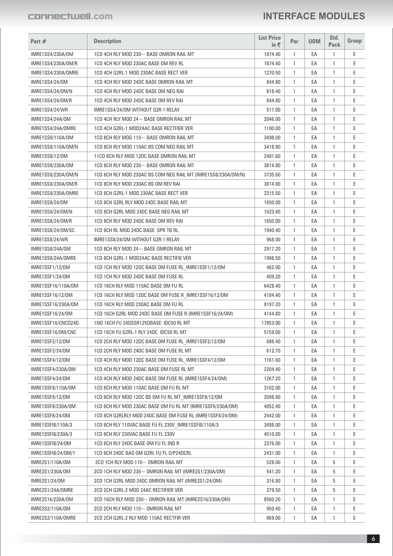| Part #                               | <b>Description</b>                                                                                                | <b>List Price</b><br>in ₹ | Per          | <b>UOM</b> | Std.<br><b>Pack</b> | Group  |
|--------------------------------------|-------------------------------------------------------------------------------------------------------------------|---------------------------|--------------|------------|---------------------|--------|
| IMRE1SS4/230A/0M                     | 1CO 4CH RLY MOD 230~ BASE OMRON RAIL MT                                                                           | 1874.40                   | $\mathbf{1}$ | EA         | 1                   | Ε      |
| IMRE1SS4/230A/0M/R                   | 1CO 4CH RLY MOD 230AC BASE OM REV RL                                                                              | 1874.40                   | 1            | EA         | 1                   | E      |
| IMRE1SS4/230A/OMRE                   | 1CO 4CH G2RL-1 MOD 230AC BASE RECT VER                                                                            | 1270.50                   | $\mathbf{1}$ | EA         | 1                   | Е      |
| <b>IMRE1SS4/24/0M</b>                | 1CO 4CH RLY MOD 24DC BASE OMRON RAIL MT                                                                           | 844.80                    | 1            | EA         | 1                   | E      |
| IMRE1SS4/24/0M/N                     | 1CO 4CH RLY MOD 24DC BASE OM NEG RAI                                                                              | 818.40                    | 1            | EA         | 1                   | E      |
| IMRE1SS4/24/0M/R                     | 1CO 4CH RLY MOD 24DC BASE OM REV RAI                                                                              | 844.80                    | $\mathbf{1}$ | EA         | 1                   | Е      |
| IMRE1SS4/24/WR                       | IMRE1SS4/24/0M WITHOUT G2R-1 RELAY                                                                                | 517.00                    | 1            | EA         | 1                   | E      |
| IMRE1SS4/24A/0M                      | 1CO 4CH RLY MOD 24~ BASE OMRON RAIL MT                                                                            | 2046.00                   | 1            | EA         | 1                   | E      |
| IMRE1SS4/24A/OMRE                    | 1CO 4CH G2RL-1 MOD24AC BASE RECTFIER VER                                                                          | 1100.00                   | $\mathbf{1}$ | EA         | 1                   | E      |
| IMRE1SS8/110A/0M                     | 1CO 8CH RLY MOD 110~ BASE OMRON RAIL MT                                                                           | 3498.00                   | $\mathbf{1}$ | EA         | 1                   | E      |
| IMRE1SS8/110A/0M/N                   | 1CO 8CH RLY MOD 110AC BS COM NEG RAIL MT                                                                          | 3418.80                   | 1            | EA         | 1                   | E      |
| <b>IMRE1SS8/12/0M</b>                | 11CO 8CH RLY MOD 12DC BASE OMRON RAIL MT                                                                          | 2481.60                   | $\mathbf{1}$ | EA         | 1                   | Е      |
| IMRE1SS8/230A/0M                     | 1CO 8CH RLY MOD 230~ BASE OMRON RAIL MT                                                                           | 3814.80                   | 1            | EA         | 1                   | E      |
| IMRE1SS8/230A/0M/N                   | 1CO 8CH RLY MOD 230AC BS COM NEG RAIL MT (IMRE1SS8/230A/OM/N)                                                     | 3735.60                   | 1            | EA         | 1                   | E      |
| IMRE1SS8/230A/0M/R                   | 1CO 8CH RLY MOD 230AC BS OM REV RAI                                                                               | 3814.80                   | $\mathbf{1}$ | EA         | 1                   | Е      |
| IMRE1SS8/230A/OMRE                   | 1CO 8CH G2RL-1 MOD 230AC BASE RECT VER                                                                            | 2315.50                   | 1            | EA         | 1                   | E      |
| <b>IMRE1SS8/24/0M</b>                | 1CO 8CH G2RL RLY MOD 24DC BASE RAIL MT                                                                            | 1650.00                   | 1            | EA         | 1                   | E      |
| IMRE1SS8/24/0M/N                     | 1CO 8CH G2RL MOD 24DC BASE NEG RAIL MT                                                                            | 1623.60                   | $\mathbf{1}$ | EA         | 1                   | Е      |
| IMRE1SS8/24/0M/R                     | 1CO 8CH RLY MOD 24DC BASE OM REV RAI                                                                              | 1650.00                   | $\mathbf{1}$ | EA         | 1                   | E      |
| IMRE1SS8/24/0M/SC                    | 1CO 8CH RL MOD 24DC BASE SPR TB RL                                                                                | 1940.40                   | 1            | EA         | 1                   | E      |
| IMRE1SS8/24/WR                       | IMRE1SS8/24/0M WITHOUT G2R-1 RELAY                                                                                | 968.00                    | $\mathbf{1}$ | EA         | 1                   | E      |
| IMRE1SS8/24A/0M                      | 1CO 8CH RLY MOD 24 $\sim$ BASE OMRON RAIL MT                                                                      | 2917.20                   | $\mathbf{1}$ | EA         | 1                   | E      |
| IMRE1SS8/24A/OMRE                    | 1CO 8CH G2RL-1 MOD24AC BASE RECTIFIE VER                                                                          | 1996.50                   | 1            | EA         | 1                   | E      |
| IMRE1SSF1/12/0M                      | 1CO 1CH RLY MOD 12DC BASE OM FUSE RL_IMRE1SSF1/12/OM                                                              | 462.00                    | $\mathbf{1}$ | EA         | 1                   | Е      |
| IMRE1SSF1/24/0M                      | 1CO 1CH RLY MOD 24DC BASE OM FUSE RL                                                                              | 409.20                    | 1            | EA         | 1                   | E      |
| IMRE1SSF16/110A/0M                   | 1CO 16CH RLY MOD 110AC BASE OM FU RL                                                                              | 6428.40                   | 1            | EA         | 1                   | E      |
| IMRE1SSF16/12/0M                     | 1CO 16CH RLY MOD 12DC BASE OM FUSE R_IMRE1SSF16/12/OM                                                             | 4184.40                   | 1            | EA         | 1                   | Е      |
| IMRE1SSF16/230A/0M                   | 1CO 16CH RLY MOD 230AC BASE OM FU RL                                                                              | 8197.20                   | 1            | EA         | 1                   | E      |
| IMRE1SSF16/24/0M                     | 1CO 16CH G2RL MOD 24DC BASE OM FUSE R (IMRE1SSF16/24/OM)                                                          | 4144.80                   | $\mathbf{1}$ | EA         | 1                   | E      |
| IMRE1SSF16/CNCD24D                   | 1NO 16CH FU 24DSSR125DBASE IDC50 RL MT                                                                            | 17853.00                  | 1            | EA         | 1                   | Е      |
| IMRE1SSF16/OM/CNC                    | 1CO 16CH FU G2RL-1 RLY 24DC IDC50 RL MT                                                                           | 5159.00                   | 1            | EA         | 1                   | E      |
|                                      |                                                                                                                   |                           |              | EA         |                     | E      |
| IMRE1SSF2/12/0M<br>IMRE1SSF2/24/0M   | 1CO 2CH RLY MOD 12DC BASE OM FUSE RL_IMRE1SSF2/12/0M<br>1CO 2CH RLY MOD 24DC BASE OM FUSE RL MT                   | 686.40<br>612.70          | 1<br>1       | EA         | 1<br>1              | Ε      |
|                                      |                                                                                                                   |                           |              |            |                     | Е      |
| IMRE1SSF4/12/0M                      | 1CO 4CH RLY MOD 12DC BASE OM FUSE RL_IMRE1SSF4/12/0M                                                              | 1161.60                   | 1            | EA         | 1                   | Ε      |
| IMRE1SSF4/230A/OM<br>IMRE1SSF4/24/0M | 1CO 4CH RLY MOD 230AC BASE OM FUSE RL MT<br>1CO 4CH RLY MOD 24DC BASE OM FUSE RL (IMRE1SSF4/24/OM)                | 2204.40                   | 1            | EA         | 1                   |        |
|                                      |                                                                                                                   | 1267.20                   | 1            | EA         | 1                   | Ε<br>Е |
| IMRE1SSF8/110A/0M                    | 1CO 8CH RLY MOD 110AC BASE OM FU RL MT                                                                            | 3102.00                   | 1            | EA         | 1                   |        |
| IMRE1SSF8/12/0M                      | 1CO 8CH RLY MOD 12DC BS OM FU RL MT IMRE1SSF8/12/0M<br>1CO 8CH RLY MOD 230AC BASE OM FU RL MT (IMRE1SSF8/230A/OM) | 2098.80                   | 1            | EA         | 1                   | Ε      |
| IMRE1SSF8/230A/OM                    |                                                                                                                   | 4052.40                   | 1            | EA         | 1                   | Ε      |
| IMRE1SSF8/24/0M                      | 1CO 8CH G2RLRLY MOD 24DC BASE OM FUSE RL (IMRE1SSF8/24/OM)                                                        | 2442.00                   | 1            | EA         | 1                   | Е      |
| IMRE1SSFI8/110A/3                    | 1CO 8CH RLY 110VAC BASE FU FL 230V IMRE1SSF18/110A/3                                                              | 3498.00                   | 1            | EA         | 1                   | Ε      |
| IMRE1SSFI8/230A/3                    | 1CO 8CH RLY 230VAC BASE FU FL 230V                                                                                | 4510.00                   | 1            | EA         | 1                   | Ε      |
| IMRE1SSFI8/24/0M                     | 1CO 8CH RLY 24DC BASE OM FU FL IND R                                                                              | 2376.00                   | 1            | EA         | 1                   | E      |
| IMRE1SSFI8/24/0M/1                   | 1CO 8CH 24DC BAS OM G2RL FU FL 0/P24DCRL                                                                          | 2431.00                   | 1            | EA         | 1                   | Ε      |
| IMRE2S1/110A/0M                      | 2CO 1CH RLY MOD 110 $\sim$ OMRON RAIL MT                                                                          | 528.00                    | 1            | EA         | 5                   | Ε      |
| IMRE2S1/230A/0M                      | 2CO 1CH RLY MOD 230 $\sim$ OMRON RAIL MT (IMRE2S1/230A/OM)                                                        | 541.20                    | 1            | EA         | 5                   | E      |
| IMRE2S1/24/0M                        | 2CO 1CH G2RL MOD 24DC OMRON RAIL MT (IMRE2S1/24/OM)                                                               | 316.80                    | 1            | EA         | 5                   | Ε      |
| IMRE2S1/24A/OMRE                     | 2CO 2CH G2RL-2 MOD 24AC RECTIFIER VER                                                                             | 379.50                    | 1            | EA         | 5                   | Ε      |
| IMRE2S16/230A/0M                     | 2CO 16CH RLY MOD 230~ OMRON RAIL MT (IMRE2S16/230A/OM)                                                            | 8560.20                   | 1            | EA         | 1                   | E      |
| IMRE2S2/110A/0M                      | 2CO 2CH RLY MOD 110 $\sim$ OMRON RAIL MT                                                                          | 950.40                    | 1            | EA         | 1                   | Ε      |
| IMRE2S2/110A/OMRE                    | 2CO 2CH G2RL-2 RLY MOD 110AC RECTFIR VER                                                                          | 869.00                    | 1            | EA         | 1                   | Е      |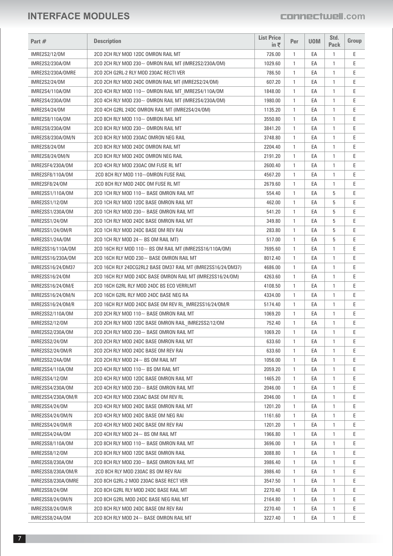| Part #                               | <b>Description</b>                                                             | <b>List Price</b><br>in₹ | Per          | <b>UOM</b> | Std.<br><b>Pack</b> | Group  |
|--------------------------------------|--------------------------------------------------------------------------------|--------------------------|--------------|------------|---------------------|--------|
| IMRE2S2/12/0M                        | 2CO 2CH RLY MOD 12DC OMRON RAIL MT                                             | 726.00                   | $\mathbf{1}$ | EA         | $\mathbf{1}$        | Ε      |
| IMRE2S2/230A/0M                      | 2CO 2CH RLY MOD 230~ OMRON RAIL MT (IMRE2S2/230A/OM)                           | 1029.60                  | $\mathbf{1}$ | EA         | 1                   | Ε      |
| IMRE2S2/230A/OMRE                    | 2CO 2CH G2RL-2 RLY MOD 230AC RECTI VER                                         | 786.50                   | $\mathbf{1}$ | EA         | 1                   | Ε      |
| IMRE2S2/24/0M                        | 2CO 2CH RLY MOD 24DC OMRON RAIL MT (IMRE2S2/24/0M)                             | 607.20                   | $\mathbf{1}$ | EA         | 1                   | Ε      |
| IMRE2S4/110A/0M                      | 2CO 4CH RLY MOD 110~ OMRON RAIL MT IMRE2S4/110A/OM                             | 1848.00                  | $\mathbf{1}$ | EA         | $\mathbf{1}$        | Ε      |
| IMRE2S4/230A/0M                      | 2CO 4CH RLY MOD 230~ OMRON RAIL MT (IMRE2S4/230A/OM)                           | 1980.00                  | 1            | EA         | 1                   | E      |
| IMRE2S4/24/0M                        | 2CO 4CH G2RL 24DC OMRON RAIL MT (IMRE2S4/24/0M)                                | 1135.20                  | $\mathbf{1}$ | EA         | 1                   | Ε      |
| IMRE2S8/110A/0M                      | 2CO 8CH RLY MOD 110 $\sim$ OMRON RAIL MT                                       | 3550.80                  | $\mathbf{1}$ | EA         | 1                   | E      |
| IMRE2S8/230A/0M                      | 2CO 8CH RLY MOD 230 $\sim$ OMRON RAIL MT                                       | 3841.20                  | $\mathbf{1}$ | EA         | 1                   | E      |
| IMRE2S8/230A/0M/N                    | 2CO 8CH RLY MOD 230AC OMRON NEG RAIL                                           | 3748.80                  | $\mathbf{1}$ | EA         | 1                   | Ε      |
| IMRE2S8/24/0M                        | 2CO 8CH RLY MOD 24DC OMRON RAIL MT                                             | 2204.40                  | $\mathbf{1}$ | EA         | 1                   | E      |
| IMRE2S8/24/0M/N                      | 2CO 8CH RLY MOD 24DC OMRON NEG RAIL                                            | 2191.20                  | $\mathbf{1}$ | EA         | 1                   | Ε      |
| IMRE2SF4/230A/0M                     | 2CO 4CH RLY MOD 230AC OM FUSE RL MT                                            | 2600.40                  | $\mathbf{1}$ | EA         | 1                   | Ε      |
| IMRE2SF8/110A/0M                     | 2CO 8CH RLY MOD 110~OMRON FUSE RAIL                                            | 4567.20                  | $\mathbf{1}$ | EA         | 1                   | E      |
| IMRE2SF8/24/0M                       | 2CO 8CH RLY MOD 24DC OM FUSE RL MT                                             | 2679.60                  | 1            | EA         | 1                   | Ε      |
| IMRE2SS1/110A/0M                     | 2CO 1CH RLY MOD 110~ BASE OMRON RAIL MT                                        | 554.40                   | $\mathbf{1}$ | EA         | 5                   | Ε      |
| IMRE2SS1/12/0M                       | 2CO 1CH RLY MOD 12DC BASE OMRON RAIL MT                                        | 462.00                   | $\mathbf{1}$ | EA         | 5                   | E      |
| IMRE2SS1/230A/0M                     | 2CO 1CH RLY MOD 230 $\sim$ BASE OMRON RAIL MT                                  | 541.20                   | 1            | EA         | 5                   | Ε      |
| <b>IMRE2SS1/24/0M</b>                | 2CO 1CH RLY MOD 24DC BASE OMRON RAIL MT                                        | 349.80                   | $\mathbf{1}$ | EA         | 5                   | Ε      |
| IMRE2SS1/24/0M/R                     | 2CO 1CH RLY MOD 24DC BASE OM REV RAI                                           | 283.80                   | $\mathbf{1}$ | EA         | 5                   | Ε      |
| IMRE2SS1/24A/0M                      | 2CO 1CH RLY MOD 24 $\sim$ BS OM RAIL MT)                                       | 517.00                   | $\mathbf{1}$ | EA         | 5                   | Ε      |
| IMRE2SS16/110A/0M                    | 2CO 16CH RLY MOD 110~ BS OM RAIL MT (IMRE2SS16/110A/OM)                        | 7695.60                  | $\mathbf{1}$ | EA         | 1                   | E      |
| IMRE2SS16/230A/0M                    | 2CO 16CH RLY MOD 230~ BASE OMRON RAIL MT                                       | 8012.40                  | $\mathbf{1}$ | EA         | 1                   | E      |
| IMRE2SS16/24/DM37                    | 2CO 16CH RLY 24DCG2RL2 BASE DM37 RAIL MT (IMRE2SS16/24/DM37)                   | 4686.00                  | $\mathbf{1}$ | EA         | 1                   | Ε      |
| IMRE2SS16/24/0M                      | 2CO 16CH RLY MOD 24DC BASE OMRON RAIL MT (IMRE2SS16/24/OM)                     | 4263.60                  | $\mathbf{1}$ | EA         | 1                   | E      |
| IMRE2SS16/24/0M/E                    | 2CO 16CH G2RL RLY MOD 24DC BS ECO VERRLMT                                      | 4108.50                  | $\mathbf{1}$ | EA         | 1                   | E      |
| IMRE2SS16/24/0M/N                    | 2CO 16CH G2RL RLY MOD 24DC BASE NEG RA                                         | 4334.00                  | $\mathbf{1}$ | EA         | 1                   | Ε      |
| IMRE2SS16/24/0M/R                    | 2CO 16CH RLY MOD 24DC BASE OM REV RL IMRE2SS16/24/OM/R                         | 5174.40                  | $\mathbf{1}$ | EA         | 1                   | Ε      |
| IMRE2SS2/110A/0M                     | 2CO 2CH RLY MOD 110 $\sim$ BASE OMRON RAIL MT                                  | 1069.20                  | $\mathbf{1}$ | EA         | 1                   | Ε      |
| IMRE2SS2/12/0M                       | 2CO 2CH RLY MOD 12DC BASE OMRON RAIL_IMRE2SS2/12/OM                            | 752.40                   | $\mathbf{1}$ | EA         | 1                   | Ε      |
| IMRE2SS2/230A/0M                     | 2CO 2CH RLY MOD 230~ BASE OMRON RAIL MT                                        | 1069.20                  | 1            | EA         | $\mathbf{1}$        | Ε      |
| IMRE2SS2/24/0M                       | 2CO 2CH RLY MOD 24DC BASE OMRON RAIL MT                                        | 633.60                   | $\mathbf{1}$ | EA         | 1                   | Ε      |
| IMRE2SS2/24/0M/R                     | 2CO 2CH RLY MOD 24DC BASE OM REV RAI                                           | 633.60                   | 1            | EA         | 1                   | Ε      |
| IMRE2SS2/24A/0M                      | 2CO 2CH RLY MOD 24 $\sim$ BS OM RAIL MT                                        | 1056.00                  | $\mathbf{1}$ | EA         | 1                   | Ε      |
| IMRE2SS4/110A/0M                     | 2CO 4CH RLY MOD 110 $\sim$ BS OM RAIL MT                                       | 2059.20                  | $\mathbf{1}$ | EA         | 1                   | Ε      |
| <b>IMRE2SS4/12/0M</b>                | 2CO 4CH RLY MOD 12DC BASE OMRON RAIL MT                                        | 1465.20                  | $\mathbf{1}$ | EA         | 1                   | Ε      |
| IMRE2SS4/230A/0M                     | 2CO 4CH RLY MOD 230~ BASE OMRON RAIL MT                                        | 2046.00                  | $\mathbf{1}$ | EA         | 1                   | Ε      |
| IMRE2SS4/230A/0M/R                   | 2CO 4CH RLY MOD 230AC BASE OM REV RL                                           | 2046.00                  | 1            | EA         | 1                   | Ε      |
| IMRE2SS4/24/0M                       | 2CO 4CH RLY MOD 24DC BASE OMRON RAIL MT                                        | 1201.20                  | $\mathbf{1}$ | EA         | 1                   | Ε      |
| IMRE2SS4/24/0M/N                     | 2CO 4CH RLY MOD 24DC BASE OM NEG RAI                                           | 1161.60                  | $\mathbf{1}$ | EA         | $\mathbf{1}$        | Ε      |
| IMRE2SS4/24/0M/R                     | 2CO 4CH RLY MOD 24DC BASE OM REV RAI                                           | 1201.20                  | 1            | EA         | 1                   | Ε      |
| IMRE2SS4/24A/0M                      | 2CO 4CH RLY MOD 24 $\sim$ BS OM RAIL MT                                        | 1966.80                  | $\mathbf{1}$ | EA         | 1                   | Ε      |
| IMRE2SS8/110A/0M                     | 2CO 8CH RLY MOD 110~ BASE OMRON RAIL MT                                        | 3696.00                  | $\mathbf{1}$ | EA         | $\mathbf{1}$        | Ε      |
| IMRE2SS8/12/0M                       | 2CO 8CH RLY MOD 12DC BASE OMRON RAIL                                           | 3088.80                  | 1            | EA         | 1                   | Ε      |
| IMRE2SS8/230A/0M                     | 2CO 8CH RLY MOD 230~ BASE OMRON RAIL MT                                        | 3986.40                  | $\mathbf{1}$ | EA         | $\mathbf{1}$        | Ε      |
|                                      |                                                                                |                          |              |            |                     | Ε      |
| IMRE2SS8/230A/0M/R                   | 2CO 8CH RLY MOD 230AC BS OM REV RAI                                            | 3986.40                  | $\mathbf{1}$ | EA         | 1                   | Е      |
| IMRE2SS8/230A/OMRE                   | 2CO 8CH G2RL-2 MOD 230AC BASE RECT VER                                         | 3547.50                  | 1            | EA         | 1                   | Ε      |
| <b>IMRE2SS8/24/0M</b>                | 2CO 8CH G2RL RLY MOD 24DC BASE RAIL MT                                         | 2270.40                  | $\mathbf{1}$ | EA         | -1                  |        |
| IMRE2SS8/24/0M/N<br>IMRE2SS8/24/0M/R | 2CO 8CH G2RL MOD 24DC BASE NEG RAIL MT<br>2CO 8CH RLY MOD 24DC BASE OM REV RAI | 2164.80<br>2270.40       | 1<br>1       | EA<br>EA   | $\mathbf{1}$<br>1   | Ε<br>Е |
| IMRE2SS8/24A/0M                      | 2CO 8CH RLY MOD 24 $\sim$ BASE OMRON RAIL MT                                   | 3227.40                  | $\mathbf{1}$ | EA         | 1                   | Ε      |
|                                      |                                                                                |                          |              |            |                     |        |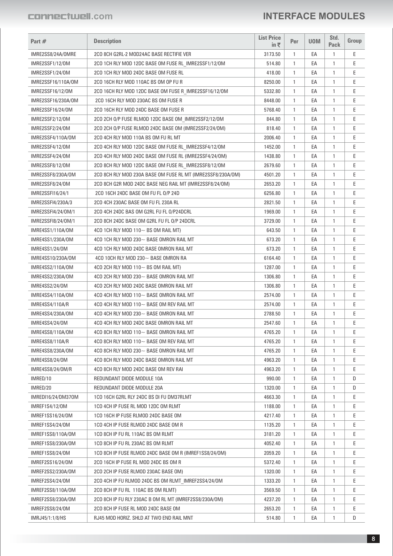| Part #                                  | <b>Description</b>                                          | <b>List Price</b><br>in ₹ | Per               | <b>UOM</b> | Std.<br><b>Pack</b> | Group |
|-----------------------------------------|-------------------------------------------------------------|---------------------------|-------------------|------------|---------------------|-------|
| IMRE2SS8/24A/OMRE                       | 2CO 8CH G2RL-2 MOD24AC BASE RECTIFIE VER                    | 3173.50                   | 1                 | EA         | 1                   | Е     |
| IMRE2SSF1/12/0M                         | 2CO 1CH RLY MOD 12DC BASE OM FUSE RL IMRE2SSF1/12/0M        | 514.80                    | $\mathbf{1}$      | EA         | 1                   | E     |
| IMRE2SSF1/24/0M                         | 2CO 1CH RLY MOD 24DC BASE OM FUSE RL                        | 418.00                    | $\mathbf{1}$      | EA         | 1                   | Ε     |
| IMRE2SSF16/110A/0M                      | 2CO 16CH RLY MOD 110AC BS OM OP FU R                        | 8250.00                   | 1                 | EA         | 1                   | E     |
| IMRE2SSF16/12/0M                        | 2CO 16CH RLY MOD 12DC BASE OM FUSE R IMRE2SSF16/12/OM       | 5332.80                   | 1                 | EA         | 1                   | E     |
| IMRE2SSF16/230A/0M                      | 2CO 16CH RLY MOD 230AC BS OM FUSE R                         | 8448.00                   | 1                 | EA         | 1                   | Е     |
| IMRE2SSF16/24/0M                        | 2CO 16CH RLY MOD 24DC BASE OM FUSE R                        | 5768.40                   | $\mathbf{1}$      | EA         | $\mathbf{1}$        | E     |
| IMRE2SSF2/12/0M                         | 2CO 2CH O/P FUSE RLMOD 12DC BASE OM IMRE2SSF2/12/OM         | 844.80                    | $\mathbf{1}$      | EA         | 1                   | E     |
| IMRE2SSF2/24/0M                         | 2CO 2CH O/P FUSE RLMOD 24DC BASE OM (IMRE2SSF2/24/OM)       | 818.40                    | 1                 | EA         | 1                   | Е     |
| IMRE2SSF4/110A/0M                       | 2CO 4CH RLY MOD 110A BS OM FU RL MT                         | 2006.40                   | $\mathbf{1}$      | EA         | $\mathbf{1}$        | Е     |
| IMRE2SSF4/12/0M                         | 2CO 4CH RLY MOD 12DC BASE OM FUSE RL IMRE2SSF4/12/OM        | 1452.00                   | 1                 | EA         | 1                   | E     |
| IMRE2SSF4/24/0M                         | 2CO 4CH RLY MOD 24DC BASE OM FUSE RL (IMRE2SSF4/24/OM)      | 1438.80                   | 1                 | EA         | 1                   | Е     |
| IMRE2SSF8/12/0M                         | 2CO 8CH RLY MOD 12DC BASE OM FUSE RL_IMRE2SSF8/12/0M        | 2679.60                   | $\mathbf{1}$      | EA         | $\mathbf{1}$        | E     |
| IMRE2SSF8/230A/OM                       | 2CO 8CH RLY MOD 230A BASE OM FUSE RL MT (IMRE2SSF8/230A/OM) | 4501.20                   | 1                 | EA         | 1                   | E     |
| IMRE2SSF8/24/0M                         | 2CO 8CH G2R MOD 24DC BASE NEG RAIL MT (IMRE2SSF8/24/0M)     | 2653.20                   | 1                 | EA         | 1                   | E     |
| IMRE2SSFI16/24/1                        | 2CO 16CH 24DC BASE OM FU FL O/P 24D                         | 6256.80                   | $\mathbf{1}$      | EA         | $\mathbf{1}$        | E     |
|                                         | 2CO 4CH 230AC BASE OM FU FL 230A RL                         | 2821.50                   | $\mathbf{1}$      | EA         | 1                   | E     |
| IMRE2SSFI4/230A/3<br>IMRE2SSFI4/24/0M/1 | 2CO 4CH 24DC BAS OM G2RL FU FL 0/P24DCRL                    |                           | 1                 | EA         | 1                   | E     |
|                                         |                                                             | 1969.00                   |                   |            |                     | E     |
| IMRE2SSFI8/24/0M/1                      | 2CO 8CH 24DC BASE OM G2RL FU FL O/P 24DCRL                  | 3729.00                   | $\mathbf{1}$<br>1 | EA<br>EA   | $\mathbf{1}$        |       |
| IMRE4SS1/110A/0M                        | 4CO 1CH RLY MOD 110 $\sim$ BS OM RAIL MT)                   | 643.50                    |                   |            | 1                   | E     |
| IMRE4SS1/230A/OM                        | 4CO 1CH RLY MOD 230~ BASE OMRON RAIL MT                     | 673.20                    | $\mathbf{1}$      | EA         | $\mathbf{1}$        | Е     |
| <b>IMRE4SS1/24/0M</b>                   | 4CO 1CH RLY MOD 24DC BASE OMRON RAIL MT                     | 673.20                    | 1                 | EA         | $\mathbf{1}$        | E     |
| IMRE4SS10/230A/0M                       | 4CO 10CH RLY MOD 230 $\sim$ BASE OMRON RA                   | 6164.40                   | $\mathbf{1}$      | EA         | 1                   | E     |
| IMRE4SS2/110A/0M                        | 4CO 2CH RLY MOD 110 $\sim$ BS OM RAIL MT)                   | 1287.00                   | $\mathbf{1}$      | EA         | $\mathbf{1}$        | Е     |
| IMRE4SS2/230A/OM                        | 4CO 2CH RLY MOD 230~ BASE OMRON RAIL MT                     | 1306.80                   | 1                 | EA         | 1                   | E     |
| IMRE4SS2/24/0M                          | 4CO 2CH RLY MOD 24DC BASE OMRON RAIL MT                     | 1306.80                   | $\mathbf{1}$      | EA         | 1                   | E     |
| IMRE4SS4/110A/0M                        | 4CO 4CH RLY MOD 110~ BASE OMRON RAIL MT                     | 2574.00                   | $\mathbf{1}$      | EA         | 1                   | E     |
| IMRE4SS4/110A/R                         | 4CO 4CH RLY MOD 110~ BASE OM REV RAIL MT                    | 2574.00                   | 1                 | EA         | 1                   | E     |
| IMRE4SS4/230A/0M                        | 4CO 4CH RLY MOD 230 $\sim$ BASE OMRON RAIL MT               | 2788.50                   | 1                 | EA         | 1                   | E     |
| IMRE4SS4/24/0M                          | 4CO 4CH RLY MOD 24DC BASE OMRON RAIL MT                     | 2547.60                   | 1                 | EA         | 1                   | E     |
| IMRE4SS8/110A/0M                        | 4CO 8CH RLY MOD 110~ BASE OMRON RAIL MT                     | 4765.20                   | 1                 | EA         | 1                   | E     |
| IMRE4SS8/110A/R                         | 4CO 8CH RLY MOD 110 $\sim$ BASE OM REV RAIL MT              | 4765.20                   | 1                 | EA         | 1                   | Ε     |
| IMRE4SS8/230A/0M                        | 4CO 8CH RLY MOD 230 $\sim$ BASE OMRON RAIL MT               | 4765.20                   | 1                 | EA         | 1                   | Е     |
| IMRE4SS8/24/0M                          | 4CO 8CH RLY MOD 24DC BASE OMRON RAIL MT                     | 4963.20                   | 1                 | EA         | 1                   | E     |
| IMRE4SS8/24/0M/R                        | 4CO 8CH RLY MOD 24DC BASE OM REV RAI                        | 4963.20                   | 1                 | EA         | 1                   | E     |
| IMRED/10                                | REDUNDANT DIODE MODULE 10A                                  | 990.00                    | 1                 | EA         | 1                   | D     |
| IMRED/20                                | REDUNDANT DIODE MODULE 20A                                  | 1320.00                   | 1                 | EA         | 1                   | D     |
| IMREDI16/24/DM370M                      | 1CO 16CH G2RL RLY 24DC BS DI FU DM37RLMT                    | 4663.30                   | 1                 | EA         | 1                   | E     |
| IMREF1S4/12/0M                          | 1CO 4CH IP FUSE RL MOD 12DC OM RLMT                         | 1188.00                   | 1                 | EA         | 1                   | Ε     |
| IMREF1SS16/24/0M                        | 1CO 16CH IP FUSE RLMOD 24DC BASE OM                         | 4217.40                   | 1                 | EA         | 1                   | E     |
| IMREF1SS4/24/0M                         | 1CO 4CH IP FUSE RLMOD 24DC BASE OM R                        | 1135.20                   | 1                 | EA         | 1                   | E     |
| IMREF1SS8/110A/0M                       | 1CO 8CH IP FU RL 110AC BS OM RLMT                           | 3181.20                   | 1                 | EA         | 1                   | Е     |
| IMREF1SS8/230A/OM                       | 1CO 8CH IP FU RL 230AC BS OM RLMT                           | 4052.40                   | 1                 | EA         | 1                   | Е     |
| IMREF1SS8/24/0M                         | 1CO 8CH IP FUSE RLMOD 24DC BASE OM R (IMREF1SS8/24/OM)      | 2059.20                   | 1                 | EA         | 1                   | Ε     |
| IMREF2SS16/24/0M                        | 2CO 16CH IP FUSE RL MOD 24DC BS OM R                        | 5372.40                   | 1                 | EA         | 1                   | E     |
| IMREF2SS2/230A/OM                       | 2CO 2CH IP FUSE RLMOD 230AC BASE OM)                        | 1320.00                   | 1                 | EA         | 1                   | Е     |
| IMREF2SS4/24/0M                         | 2CO 4CH IP FU RLMOD 24DC BS OM RLMT_IMREF2SS4/24/OM         | 1333.20                   | 1                 | EA         | 1                   | Е     |
| IMREF2SS8/110A/0M                       | 2CO 8CH IP FU RL 110AC BS OM RLMT)                          | 3569.50                   | 1                 | EA         | 1                   | E     |
| IMREF2SS8/230A/OM                       | 2CO 8CH IP FU RLY 230AC B OM RL MT (IMREF2SS8/230A/OM)      | 4237.20                   | 1                 | EA         | 1                   | E     |
| IMREF2SS8/24/0M                         | 2CO 8CH IP FUSE RL MOD 24DC BASE OM                         | 2653.20                   | 1                 | EA         | 1                   | Е     |
| IMRJ45/1:1/8/HS                         | RJ45 MOD HORIZ. SHLD AT TWO END RAIL MNT                    | 514.80                    | 1                 | EA         | $\mathbf{1}$        | D     |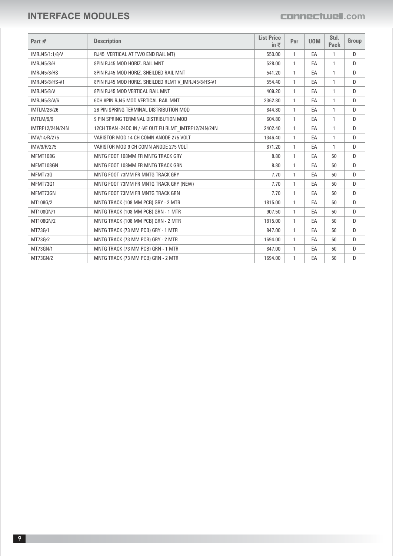| Part $#$           | <b>Description</b>                                   | <b>List Price</b><br>in $\bar{z}$ | Per          | <b>UOM</b> | Std.<br><b>Pack</b> | Group |
|--------------------|------------------------------------------------------|-----------------------------------|--------------|------------|---------------------|-------|
| IMRJ45/1:1/8/V     | RJ45 VERTICAL AT TWO END RAIL MT)                    | 550.00                            | $\mathbf{1}$ | EA         |                     | D     |
| <b>IMRJ45/8/H</b>  | 8PIN RJ45 MOD HORIZ. RAIL MNT                        | 528.00                            | $\mathbf{1}$ | EA         | 1                   | D     |
| <b>IMRJ45/8/HS</b> | 8PIN RJ45 MOD HORIZ. SHEILDED RAIL MNT               | 541.20                            | $\mathbf{1}$ | EA         |                     | D     |
| IMRJ45/8/HS-V1     | 8PIN RJ45 MOD HORIZ. SHEILDED RLMT V_IMRJ45/8/HS-V1  | 554.40                            | $\mathbf{1}$ | EA         | 1                   | D     |
| <b>IMRJ45/8/V</b>  | 8PIN RJ45 MOD VERTICAL RAIL MNT                      | 409.20                            | $\mathbf{1}$ | EA         |                     | D     |
| IMRJ45/8/V/6       | 6CH 8PIN RJ45 MOD VERTICAL RAIL MNT                  | 2362.80                           | $\mathbf{1}$ | EA         | 1                   | D     |
| <b>IMTLM/26/26</b> | 26 PIN SPRING TERMINAL DISTRIBUTION MOD              | 844.80                            | $\mathbf{1}$ | EA         |                     | D     |
| IMTLM/9/9          | 9 PIN SPRING TERMINAL DISTRIBUTION MOD               | 604.80                            | $\mathbf{1}$ | EA         | 1                   | D     |
| IMTRF12/24N/24N    | 12CH TRAN -24DC IN / -VE OUT FU RLMT_IMTRF12/24N/24N | 2402.40                           | $\mathbf{1}$ | EA         | 1                   | D     |
| IMV/14/R/275       | VARISTOR MOD 14 CH COMN ANODE 275 VOLT               | 1346.40                           | $\mathbf{1}$ | EA         | 1                   | D     |
| IMV/9/R/275        | VARISTOR MOD 9 CH COMN ANODE 275 VOLT                | 871.20                            | $\mathbf{1}$ | EA         | 1                   | D     |
| MFMT108G           | MNTG FOOT 108MM FR MNTG TRACK GRY                    | 8.80                              | 1            | EA         | 50                  | D     |
| MFMT108GN          | MNTG FOOT 108MM FR MNTG TRACK GRN                    | 8.80                              | 1            | EA         | 50                  | D     |
| MFMT73G            | MNTG FOOT 73MM FR MNTG TRACK GRY                     | 7.70                              | $\mathbf{1}$ | EA         | 50                  | D     |
| MFMT73G1           | MNTG FOOT 73MM FR MNTG TRACK GRY (NEW)               | 7.70                              | $\mathbf{1}$ | EA         | 50                  | D     |
| MFMT73GN           | MNTG FOOT 73MM FR MNTG TRACK GRN                     | 7.70                              | 1            | EA         | 50                  | D     |
| MT108G/2           | MNTG TRACK (108 MM PCB) GRY - 2 MTR                  | 1815.00                           | $\mathbf{1}$ | EA         | 50                  | D     |
| MT108GN/1          | MNTG TRACK (108 MM PCB) GRN - 1 MTR                  | 907.50                            | $\mathbf{1}$ | EA         | 50                  | D     |
| MT108GN/2          | MNTG TRACK (108 MM PCB) GRN - 2 MTR                  | 1815.00                           | $\mathbf{1}$ | EA         | 50                  | D     |
| MT73G/1            | MNTG TRACK (73 MM PCB) GRY - 1 MTR                   | 847.00                            | $\mathbf{1}$ | EA         | 50                  | D     |
| MT73G/2            | MNTG TRACK (73 MM PCB) GRY - 2 MTR                   | 1694.00                           | $\mathbf{1}$ | EA         | 50                  | D     |
| MT73GN/1           | MNTG TRACK (73 MM PCB) GRN - 1 MTR                   | 847.00                            | $\mathbf{1}$ | EA         | 50                  | D     |
| MT73GN/2           | MNTG TRACK (73 MM PCB) GRN - 2 MTR                   | 1694.00                           | 1            | EA         | 50                  | D     |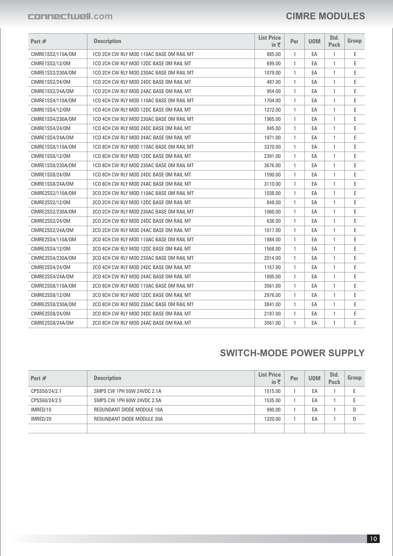#### **CIMRE MODULES**

| Part #                 | <b>Description</b>                       | <b>List Price</b><br>in ₹ | Per          | <b>UOM</b> | Std.<br>Pack | <b>Group</b> |
|------------------------|------------------------------------------|---------------------------|--------------|------------|--------------|--------------|
| CIMRE1SS2/110A/0M      | 1CO 2CH CW RLY MOD 110AC BASE OM RAIL MT | 885.00                    | 1            | EA         | 1            | E            |
| CIMRE1SS2/12/0M        | 1CO 2CH CW RLY MOD 12DC BASE OM RAIL MT  | 699.00                    | $\mathbf{1}$ | EA         | $\mathbf{1}$ | E            |
| CIMRE1SS2/230A/0M      | 1CO 2CH CW RLY MOD 230AC BASE OM RAIL MT | 1079.00                   | $\mathbf{1}$ | EA         | $\mathbf{1}$ | Ε            |
| CIMRE1SS2/24/0M        | 1CO 2CH CW RLY MOD 24DC BASE OM RAIL MT  | 487.00                    | 1            | EA         | $\mathbf{1}$ | E            |
| CIMRE1SS2/24A/0M       | 1CO 2CH CW RLY MOD 24AC BASE OM RAIL MT  | 954.00                    | $\mathbf{1}$ | EA         | 1            | Ε            |
| CIMRE1SS4/110A/0M      | 1CO 4CH CW RLY MOD 110AC BASE OM RAIL MT | 1704.00                   | $\mathbf{1}$ | EA         | $\mathbf{1}$ | E            |
| CIMRE1SS4/12/0M        | 1CO 4CH CW RLY MOD 12DC BASE OM RAIL MT  | 1272.00                   | $\mathbf{1}$ | EA         | 1            | E            |
| CIMRE1SS4/230A/0M      | 1CO 4CH CW RLY MOD 230AC BASE OM RAIL MT | 1965.00                   | $\mathbf{1}$ | EA         | $\mathbf{1}$ | Ε            |
| CIMRE1SS4/24/0M        | 1CO 4CH CW RLY MOD 24DC BASE OM RAIL MT  | 845.00                    | $\mathbf{1}$ | EA         | $\mathbf{1}$ | E            |
| CIMRE1SS4/24A/0M       | 1CO 4CH CW RLY MOD 24AC BASE OM RAIL MT  | 1971.00                   | $\mathbf{1}$ | EA         | $\mathbf{1}$ | E            |
| CIMRE1SS8/110A/0M      | 1CO 8CH CW RLY MOD 110AC BASE OM RAIL MT | 3370.00                   | $\mathbf{1}$ | EA         | $\mathbf{1}$ | E            |
| CIMRE1SS8/12/0M        | 1CO 8CH CW RLY MOD 12DC BASE OM RAIL MT  | 2391.00                   | 1            | EA         | 1            | E            |
| CIMRE1SS8/230A/0M      | 1CO 8CH CW RLY MOD 230AC BASE OM RAIL MT | 3676.00                   | $\mathbf{1}$ | EA         | $\mathbf{1}$ | E            |
| <b>CIMRE1SS8/24/0M</b> | 1CO 8CH CW RLY MOD 24DC BASE OM RAIL MT  | 1590.00                   | $\mathbf{1}$ | EA         | $\mathbf{1}$ | E            |
| CIMRE1SS8/24A/0M       | 1CO 8CH CW RLY MOD 24AC BASE OM RAIL MT  | 3110.00                   | $\mathbf{1}$ | EA         | $\mathbf{1}$ | E            |
| CIMRE2SS2/110A/0M      | 2CO 2CH CW RLY MOD 110AC BASE OM RAIL MT | 1038.00                   | $\mathbf{1}$ | EA         | $\mathbf{1}$ | E            |
| CIMRE2SS2/12/0M        | 2CO 2CH CW RLY MOD 12DC BASE OM RAIL MT  | 848.00                    | 1            | EA         | $\mathbf{1}$ | E            |
| CIMRE2SS2/230A/0M      | 2CO 2CH CW RLY MOD 230AC BASE OM RAIL MT | 1060.00                   | $\mathbf{1}$ | EA         | 1            | E            |
| CIMRE2SS2/24/0M        | 2CO 2CH CW RLY MOD 24DC BASE OM RAIL MT  | 636.00                    | $\mathbf{1}$ | EA         | $\mathbf{1}$ | E            |
| CIMRE2SS2/24A/0M       | 2CO 2CH CW RLY MOD 24AC BASE OM RAIL MT  | 1017.00                   | 1            | EA         | $\mathbf{1}$ | E            |
| CIMRE2SS4/110A/0M      | 2CO 4CH CW RLY MOD 110AC BASE OM RAIL MT | 1984.00                   | $\mathbf{1}$ | EA         | 1            | E            |
| CIMRE2SS4/12/0M        | 2CO 4CH CW RLY MOD 12DC BASE OM RAIL MT  | 1568.00                   | $\mathbf{1}$ | EA         | $\mathbf{1}$ | E            |
| CIMRE2SS4/230A/0M      | 2CO 4CH CW RLY MOD 230AC BASE OM RAIL MT | 2014.00                   | 1            | EA         | 1            | E            |
| CIMRE2SS4/24/0M        | 2CO 4CH CW RLY MOD 24DC BASE OM RAIL MT  | 1157.00                   | $\mathbf{1}$ | EA         | 1            | E            |
| CIMRE2SS4/24A/0M       | 2CO 4CH CW RLY MOD 24AC BASE OM RAIL MT  | 1895.00                   | $\mathbf{1}$ | EA         | $\mathbf{1}$ | E            |
| CIMRE2SS8/110A/0M      | 2CO 8CH CW RLY MOD 110AC BASE OM RAIL MT | 3561.00                   | 1            | EA         | 1            | E            |
| <b>CIMRE2SS8/12/0M</b> | 2CO 8CH CW RLY MOD 12DC BASE OM RAIL MT  | 2976.00                   | $\mathbf{1}$ | EA         | $\mathbf{1}$ | E            |
| CIMRE2SS8/230A/0M      | 2CO 8CH CW RLY MOD 230AC BASE OM RAIL MT | 3841.00                   | 1            | EA         | 1            | E            |
| CIMRE2SS8/24/0M        | 2CO 8CH CW RLY MOD 24DC BASE OM RAIL MT  | 2187.00                   | $\mathbf{1}$ | EA         | $\mathbf{1}$ | E            |
| CIMRE2SS8/24A/0M       | 2CO 8CH CW RLY MOD 24AC BASE OM RAIL MT  | 3561.00                   | $\mathbf{1}$ | EA         | $\mathbf{1}$ | E            |

#### **SWITCH-MODE POWER SUPPLY**

| Part $#$      | <b>Description</b>         | <b>List Price</b><br>in $\bar{\tau}$ | Per | <b>UOM</b> | Std.<br><b>Pack</b> | Group |
|---------------|----------------------------|--------------------------------------|-----|------------|---------------------|-------|
| CPSS50/24/2.1 | SMPS CW 1PH 50W 24VDC 2.1A | 1515.00                              |     | EA         |                     |       |
| CPSS60/24/2.5 | SMPS CW 1PH 60W 24VDC 2.5A | 1535.00                              |     | EA         |                     |       |
| IMRED/10      | REDUNDANT DIODE MODULE 10A | 990.00                               |     | EA         |                     | D     |
| IMRED/20      | REDUNDANT DIODE MODULE 20A | 1320.00                              |     | EA         |                     | D     |
|               |                            |                                      |     |            |                     |       |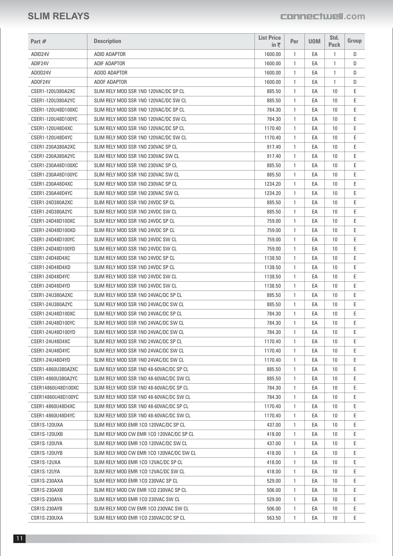| Part #             | <b>Description</b>                       | <b>List Price</b><br>in $\bar{\tau}$ | Per          | <b>UOM</b> | Std.<br><b>Pack</b> | Group |
|--------------------|------------------------------------------|--------------------------------------|--------------|------------|---------------------|-------|
| ADID24V            | <b>ADID ADAPTOR</b>                      | 1600.00                              | $\mathbf{1}$ | EA         | $\mathbf{1}$        | D     |
| ADIF24V            | <b>ADIF ADAPTOR</b>                      | 1600.00                              | $\mathbf{1}$ | EA         | 1                   | D     |
| ADOD24V            | ADOD ADAPTOR                             | 1600.00                              | $\mathbf{1}$ | EA         | $\mathbf{1}$        | D     |
| ADOF24V            | ADOF ADAPTOR                             | 1600.00                              | $\mathbf{1}$ | EA         | 1                   | D     |
| CSER1-120U380A2XC  | SLIM RELY MOD SSR 1NO 120VAC/DC SP CL    | 885.50                               | $\mathbf{1}$ | EA         | 10                  | Ε     |
| CSER1-120U380A2YC  | SLIM RELY MOD SSR 1NO 120VAC/DC SW CL    | 885.50                               | $\mathbf{1}$ | EA         | 10                  | Ε     |
| CSER1-120U48D100XC | SLIM RELY MOD SSR 1NO 120VAC/DC SP CL    | 784.30                               | $\mathbf{1}$ | EA         | 10                  | E     |
| CSER1-120U48D100YC | SLIM RELY MOD SSR 1NO 120VAC/DC SW CL    | 784.30                               | $\mathbf{1}$ | EA         | 10                  | E     |
| CSER1-120U48D4XC   | SLIM RELY MOD SSR 1NO 120VAC/DC SP CL    | 1170.40                              | $\mathbf{1}$ | EA         | 10                  | Ε     |
| CSER1-120U48D4YC   | SLIM RELY MOD SSR 1NO 120VAC/DC SW CL    | 1170.40                              | $\mathbf{1}$ | EA         | 10                  | E     |
| CSER1-230A380A2XC  | SLIM RELY MOD SSR 1NO 230VAC SP CL       | 917.40                               | $\mathbf{1}$ | EA         | 10                  | Ε     |
| CSER1-230A380A2YC  | SLIM RELY MOD SSR 1NO 230VAC SW CL       | 917.40                               | $\mathbf{1}$ | EA         | 10                  | E     |
| CSER1-230A48D100XC | SLIM RELY MOD SSR 1NO 230VAC SP CL       | 885.50                               | $\mathbf{1}$ | EA         | 10                  | E     |
| CSER1-230A48D100YC | SLIM RELY MOD SSR 1NO 230VAC SW CL       | 885.50                               | $\mathbf{1}$ | EA         | 10                  | Ε     |
| CSER1-230A48D4XC   | SLIM RELY MOD SSR 1NO 230VAC SP CL       | 1234.20                              | $\mathbf{1}$ | EA         | 10                  | E     |
| CSER1-230A48D4YC   | SLIM RELY MOD SSR 1NO 230VAC SW CL       | 1234.20                              | $\mathbf{1}$ | EA         | 10                  | Ε     |
| CSER1-24D380A2XC   | SLIM RELY MOD SSR 1NO 24VDC SP CL        | 885.50                               | $\mathbf{1}$ | EA         | 10                  | Ε     |
| CSER1-24D380A2YC   | SLIM RELY MOD SSR 1NO 24VDC SW CL        | 885.50                               | $\mathbf{1}$ | EA         | 10                  | Ε     |
| CSER1-24D48D100XC  | SLIM RELY MOD SSR 1NO 24VDC SP CL        | 759.00                               | $\mathbf{1}$ | EA         | 10                  | Ε     |
| CSER1-24D48D100XD  | SLIM RELY MOD SSR 1NO 24VDC SP CL        | 759.00                               | $\mathbf{1}$ | EA         | 10                  | Ε     |
| CSER1-24D48D100YC  | SLIM RELY MOD SSR 1NO 24VDC SW CL        | 759.00                               | $\mathbf{1}$ | EA         | 10                  | Ε     |
| CSER1-24D48D100YD  | SLIM RELY MOD SSR 1NO 24VDC SW CL        | 759.00                               | $\mathbf{1}$ | EA         | 10                  | Ε     |
| CSER1-24D48D4XC    | SLIM RELY MOD SSR 1NO 24VDC SP CL        | 1138.50                              | $\mathbf{1}$ | EA         | 10                  | Ε     |
| CSER1-24D48D4XD    | SLIM RELY MOD SSR 1NO 24VDC SP CL        | 1138.50                              | $\mathbf{1}$ | EA         | 10                  | E     |
| CSER1-24D48D4YC    | SLIM RELY MOD SSR 1NO 24VDC SW CL        | 1138.50                              | $\mathbf{1}$ | EA         | 10                  | Ε     |
| CSER1-24D48D4YD    | SLIM RELY MOD SSR 1NO 24VDC SW CL        | 1138.50                              | $\mathbf{1}$ | EA         | 10                  | Ε     |
| CSER1-24U380A2XC   | SLIM RELY MOD SSR 1NO 24VAC/DC SP CL     | 885.50                               | $\mathbf{1}$ | EA         | 10                  | E     |
| CSER1-24U380A2YC   |                                          |                                      |              | EA         |                     | Ε     |
|                    | SLIM RELY MOD SSR 1NO 24VAC/DC SW CL     | 885.50                               | $\mathbf{1}$ |            | 10                  |       |
| CSER1-24U48D100XC  | SLIM RELY MOD SSR 1NO 24VAC/DC SP CL     | 784.30                               | $\mathbf{1}$ | EA         | 10                  | Ε     |
| CSER1-24U48D100YC  | SLIM RELY MOD SSR 1NO 24VAC/DC SW CL     | 784.30                               | $\mathbf{1}$ | EA         | 10                  | E     |
| CSER1-24U48D100YD  | SLIM RELY MOD SSR 1NO 24VAC/DC SW CL     | 784.30                               | 1            | EA         | 10                  | Ε     |
| CSER1-24U48D4XC    | SLIM RELY MOD SSR 1NO 24VAC/DC SP CL     | 1170.40                              | $\mathbf{1}$ | EA         | 10                  | Ε     |
| CSER1-24U48D4YC    | SLIM RELY MOD SSR 1NO 24VAC/DC SW CL     | 1170.40                              | $\mathbf{1}$ | EA         | 10                  | Ε     |
| CSER1-24U48D4YD    | SLIM RELY MOD SSR 1NO 24VAC/DC SW CL     | 1170.40                              | $\mathbf{1}$ | EА         | 10                  | E     |
| CSER1-4860U380A2XC | SLIM RELY MOD SSR 1NO 48-60VAC/DC SP CL  | 885.50                               | $\mathbf{1}$ | EA         | 10                  | Ε     |
| CSER1-4860U380A2YC | SLIM RELY MOD SSR 1NO 48-60VAC/DC SW CL  | 885.50                               | $\mathbf{1}$ | EA         | 10                  | Ε     |
| CSER14860U48D100XC | SLIM RELY MOD SSR 1NO 48-60VAC/DC SP CL  | 784.30                               | $\mathbf{1}$ | EА         | 10                  | Е     |
| CSER14860U48D100YC | SLIM RELY MOD SSR 1NO 48-60VAC/DC SW CL  | 784.30                               | $\mathbf{1}$ | EA         | 10                  | Ε     |
| CSER1-4860U48D4XC  | SLIM RELY MOD SSR 1NO 48-60VAC/DC SP CL  | 1170.40                              | $\mathbf{1}$ | EA         | 10                  | E     |
| CSER1-4860U48D4YC  | SLIM RELY MOD SSR 1NO 48-60VAC/DC SW CL  | 1170.40                              | $\mathbf{1}$ | EA         | 10                  | Ε     |
| CSR1S-120UXA       | SLIM RELY MOD EMR 1CO 120VAC/DC SP CL    | 437.00                               | $\mathbf{1}$ | EA         | 10                  | Ε     |
| CSR1S-120UXB       | SLIM RELY MOD CW EMR 1CO 120VAC/DC SP CL | 418.00                               | $\mathbf{1}$ | EA         | 10                  | E     |
| CSR1S-120UYA       | SLIM RELY MOD EMR 1CO 120VAC/DC SW CL    | 437.00                               | $\mathbf{1}$ | EA         | 10                  | Ε     |
| CSR1S-120UYB       | SLIM RELY MOD CW EMR 1CO 120VAC/DC SW CL | 418.00                               | $\mathbf{1}$ | EA         | 10                  | Ε     |
| CSR1S-12UXA        | SLIM RELY MOD EMR 1CO 12VAC/DC SP CL     | 418.00                               | $\mathbf{1}$ | EА         | 10                  | E     |
| CSR1S-12UYA        | SLIM RELY MOD EMR 1CO 12VAC/DC SW CL     | 418.00                               | $\mathbf{1}$ | EA         | 10                  | Ε     |
| CSR1S-230AXA       | SLIM RELY MOD EMR 1CO 230VAC SP CL       | 529.00                               | $\mathbf{1}$ | EA         | 10                  | Ε     |
| CSR1S-230AXB       | SLIM RELY MOD CW EMR 1CO 230VAC SP CL    | 506.00                               | $\mathbf{1}$ | EА         | 10                  | E     |
| CSR1S-230AYA       | SLIM RELY MOD EMR 1CO 230VAC SW CL       | 529.00                               | $\mathbf{1}$ | EA         | 10                  | Ε     |
| CSR1S-230AYB       | SLIM RELY MOD CW EMR 1CO 230VAC SW CL    | 506.00                               | $\mathbf{1}$ | EA         | 10                  | Ε     |
| CSR1S-230UXA       | SLIM RELY MOD EMR 1CO 230VAC/DC SP CL    | 563.50                               | $\mathbf{1}$ | EА         | 10                  | Ε     |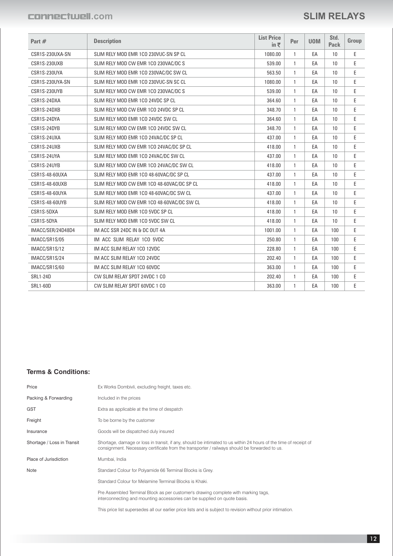#### **SLIM RELAYS**

| Part #            | <b>Description</b>                         | <b>List Price</b><br>in $\bar{z}$ | Per          | <b>UOM</b> | Std.<br>Pack | Group |
|-------------------|--------------------------------------------|-----------------------------------|--------------|------------|--------------|-------|
| CSR1S-230UXA-SN   | SLIM RELY MOD EMR 1CO 230VUC-SN SP CL      | 1080.00                           | $\mathbf{1}$ | EA         | 10           | E     |
| CSR1S-230UXB      | SLIM RELY MOD CW EMR 1CO 230VAC/DC S       | 539.00                            | $\mathbf{1}$ | EA         | 10           | E     |
| CSR1S-230UYA      | SLIM RELY MOD EMR 1CO 230VAC/DC SW CL      | 563.50                            | $\mathbf{1}$ | EA         | 10           | E     |
| CSR1S-230UYA-SN   | SLIM RELY MOD EMR 1CO 230VUC-SN SC CL      | 1080.00                           | $\mathbf{1}$ | EA         | 10           | E     |
| CSR1S-230UYB      | SLIM RELY MOD CW EMR 1CO 230VAC/DC S       | 539.00                            | $\mathbf{1}$ | EA         | 10           | E     |
| CSR1S-24DXA       | SLIM RELY MOD EMR 1CO 24VDC SP CL          | 364.60                            | $\mathbf{1}$ | EA         | 10           | E     |
| CSR1S-24DXB       | SLIM RELY MOD CW EMR 1CO 24VDC SP CL       | 348.70                            | $\mathbf{1}$ | EA         | 10           | E     |
| CSR1S-24DYA       | SLIM RELY MOD EMR 1CO 24VDC SW CL          | 364.60                            | $\mathbf{1}$ | EA         | 10           | E     |
| CSR1S-24DYB       | SLIM RELY MOD CW EMR 1CO 24VDC SW CL       | 348.70                            | $\mathbf{1}$ | EA         | 10           | E     |
| CSR1S-24UXA       | SLIM RELY MOD EMR 1CO 24VAC/DC SP CL       | 437.00                            | $\mathbf{1}$ | EA         | 10           | E     |
| CSR1S-24UXB       | SLIM RELY MOD CW EMR 1CO 24VAC/DC SP CL    | 418.00                            | $\mathbf{1}$ | EA         | 10           | E     |
| CSR1S-24UYA       | SLIM RELY MOD EMR 1CO 24VAC/DC SW CL       | 437.00                            | $\mathbf{1}$ | EA         | 10           | E     |
| CSR1S-24UYB       | SLIM RELY MOD CW EMR 1CO 24VAC/DC SW CL    | 418.00                            | $\mathbf{1}$ | EA         | 10           | E     |
| CSR1S-48-60UXA    | SLIM RELY MOD EMR 1CO 48-60VAC/DC SP CL    | 437.00                            | $\mathbf{1}$ | EA         | 10           | E     |
| CSR1S-48-60UXB    | SLIM RELY MOD CW EMR 1CO 48-60VAC/DC SP CL | 418.00                            | $\mathbf{1}$ | EA         | 10           | E     |
| CSR1S-48-60UYA    | SLIM RELY MOD EMR 1CO 48-60VAC/DC SW CL    | 437.00                            | $\mathbf{1}$ | EA         | 10           | E     |
| CSR1S-48-60UYB    | SLIM RELY MOD CW EMR 1CO 48-60VAC/DC SW CL | 418.00                            | $\mathbf{1}$ | EA         | 10           | Ε     |
| CSR1S-5DXA        | SLIM RELY MOD EMR 1CO 5VDC SP CL           | 418.00                            | $\mathbf{1}$ | EA         | 10           | E     |
| CSR1S-5DYA        | SLIM RELY MOD EMR 1CO 5VDC SW CL           | 418.00                            | $\mathbf{1}$ | EA         | 10           | E     |
| IMACC/SER/24D48D4 | IM ACC SSR 24DC IN & DC OUT 4A             | 1001.00                           | $\mathbf{1}$ | EA         | 100          | E     |
| IMACC/SR1S/05     | IM ACC SLIM RELAY 1CO 5VDC                 | 250.80                            | $\mathbf{1}$ | EA         | 100          | E     |
| IMACC/SR1S/12     | IM ACC SLIM RELAY 1CO 12VDC                | 228.80                            | $\mathbf{1}$ | EA         | 100          | E     |
| IMACC/SR1S/24     | IM ACC SLIM RELAY 1CO 24VDC                | 202.40                            | $\mathbf{1}$ | EA         | 100          | E     |
| IMACC/SR1S/60     | IM ACC SLIM RELAY 1CO 60VDC                | 363.00                            | $\mathbf{1}$ | EA         | 100          | E     |
| <b>SRL1-24D</b>   | CW SLIM RELAY SPDT 24VDC 1 CO              | 202.40                            | $\mathbf{1}$ | EA         | 100          | E     |
| <b>SRL1-60D</b>   | CW SLIM RELAY SPDT 60VDC 1 CO              | 363.00                            | $\mathbf{1}$ | EA         | 100          | E     |

#### **Terms & Conditions:**

| Price                      | Ex Works Dombivli, excluding freight, taxes etc.                                                                                                                                                                  |
|----------------------------|-------------------------------------------------------------------------------------------------------------------------------------------------------------------------------------------------------------------|
| Packing & Forwarding       | Included in the prices                                                                                                                                                                                            |
| <b>GST</b>                 | Extra as applicable at the time of despatch                                                                                                                                                                       |
| Freight                    | To be borne by the customer                                                                                                                                                                                       |
| Insurance                  | Goods will be dispatched duly insured                                                                                                                                                                             |
| Shortage / Loss in Transit | Shortage, damage or loss in transit, if any, should be intimated to us within 24 hours of the time of receipt of<br>consignment. Necessary certificate from the transporter / railways should be forwarded to us. |
| Place of Jurisdiction      | Mumbai, India                                                                                                                                                                                                     |
| Note                       | Standard Colour for Polyamide 66 Terminal Blocks is Grey.                                                                                                                                                         |
|                            | Standard Colour for Melamine Terminal Blocks is Khaki.                                                                                                                                                            |
|                            | Pre Assembled Terminal Block as per customer's drawing complete with marking tags,<br>interconnecting and mounting accessories can be supplied on quote basis.                                                    |
|                            | This price list supersedes all our earlier price lists and is subject to revision without prior intimation.                                                                                                       |